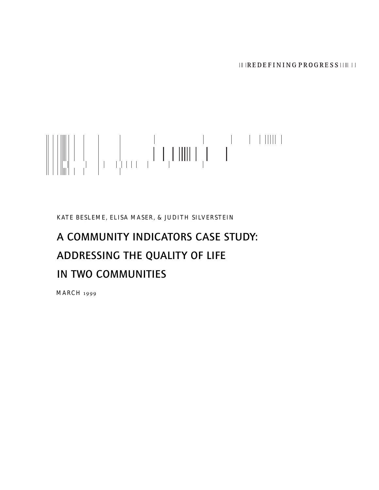# 

KATE BESLEME, ELISA MASER, & JUDITH SILVERSTEIN

# A COMMUNITY INDICATORS CASE STUDY: ADDRESSING THE QUALITY OF LIFE IN TWO COMMUNITIES

MARCH 1999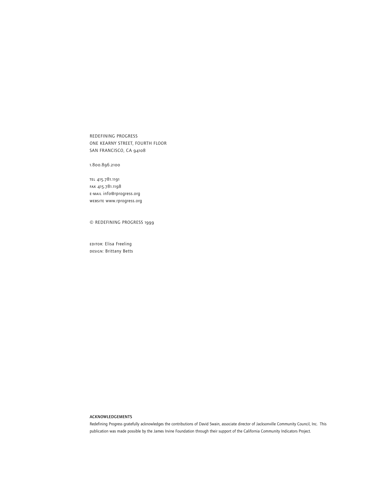REDEFINING PROGRESS ONE KEARNY STREET, FOURTH FLOOR SAN FRANCISCO, CA 94108

1.800.896.2100

tel 415.781.1191 fax 415.781.1198 e-mail info@rprogress.org website www.rprogress.org

© REDEFINING PROGRESS 1999

EDITOR: Elisa Freeling DESIGN: Brittany Betts

#### ACKNOWLEDGEMENTS

Redefining Progress gratefully acknowledges the contributions of David Swain, associate director of Jacksonville Community Council, Inc. This publication was made possible by the James Irvine Foundation through their support of the California Community Indicators Project.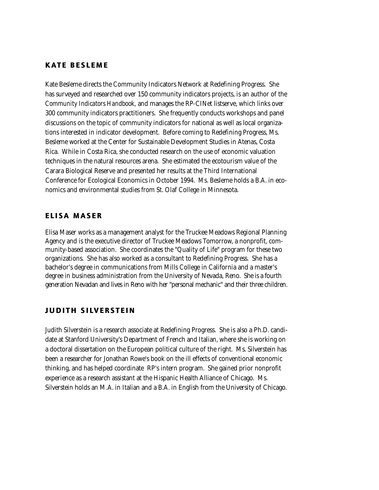# **KATE BESLEME**

Kate Besleme directs the Community Indicators Network at Redefining Progress. She has surveyed and researched over 150 community indicators projects, is an author of the *Community Indicators Handbook,* and manages the RP-CINet listserve, which links over 300 community indicators practitioners. She frequently conducts workshops and panel discussions on the topic of community indicators for national as well as local organizations interested in indicator development. Before coming to Redefining Progress, Ms. Besleme worked at the Center for Sustainable Development Studies in Atenas, Costa Rica. While in Costa Rica, she conducted research on the use of economic valuation techniques in the natural resources arena. She estimated the ecotourism value of the Carara Biological Reserve and presented her results at the Third International Conference for Ecological Economics in October 1994. Ms. Besleme holds a B.A. in economics and environmental studies from St. Olaf College in Minnesota.

# ELISA MASER

Elisa Maser works as a management analyst for the Truckee Meadows Regional Planning Agency and is the executive director of Truckee Meadows Tomorrow, a nonprofit, community-based association. She coordinates the "Quality of Life" program for these two organizations. She has also worked as a consultant to Redefining Progress. She has a bachelor's degree in communications from Mills College in California and a master's degree in business administration from the University of Nevada, Reno. She is a fourth generation Nevadan and lives in Reno with her "personal mechanic" and their three children.

# JUDITH SILVERSTEIN

Judith Silverstein is a research associate at Redefining Progress. She is also a Ph.D. candidate at Stanford University's Department of French and Italian, where she is working on a doctoral dissertation on the European political culture of the right. Ms. Silverstein has been a researcher for Jonathan Rowe's book on the ill effects of conventional economic thinking, and has helped coordinate RP's intern program. She gained prior nonprofit experience as a research assistant at the Hispanic Health Alliance of Chicago. Ms. Silverstein holds an M.A. in Italian and a B.A. in English from the University of Chicago.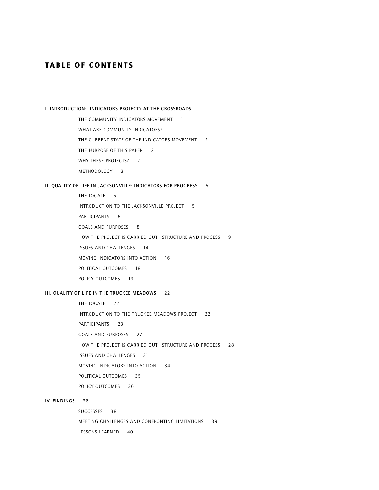# **TABLE OF CONTENTS**

I. INTRODUCTION: INDICATORS PROJECTS AT THE CROSSROADS 1

| THE COMMUNITY INDICATORS MOVEMENT 1

| WHAT ARE COMMUNITY INDICATORS? 1

| THE CURRENT STATE OF THE INDICATORS MOVEMENT 2

| THE PURPOSE OF THIS PAPER 2

| WHY THESE PROJECTS? 2

| METHODOLOGY 3

#### II. QUALITY OF LIFE IN JACKSONVILLE: INDICATORS FOR PROGRESS 5

| THE LOCALE 5

| INTRODUCTION TO THE JACKSONVILLE PROJECT 5

| PARTICIPANTS 6

| GOALS AND PURPOSES 8

| HOW THE PROJECT IS CARRIED OUT: STRUCTURE AND PROCESS 9

| ISSUES AND CHALLENGES 14

| MOVING INDICATORS INTO ACTION 16

| POLITICAL OUTCOMES 18

| POLICY OUTCOMES 19

#### III. QUALITY OF LIFE IN THE TRUCKEE MEADOWS 22

| THE LOCALE 22

| INTRODUCTION TO THE TRUCKEE MEADOWS PROJECT 22

| PARTICIPANTS 23

| GOALS AND PURPOSES 27

| HOW THE PROJECT IS CARRIED OUT: STRUCTURE AND PROCESS 28

| ISSUES AND CHALLENGES 31

| MOVING INDICATORS INTO ACTION 34

| POLITICAL OUTCOMES 35

| POLICY OUTCOMES 36

#### IV. FINDINGS 38

| SUCCESSES 38

| MEETING CHALLENGES AND CONFRONTING LIMITATIONS 39

| LESSONS LEARNED 40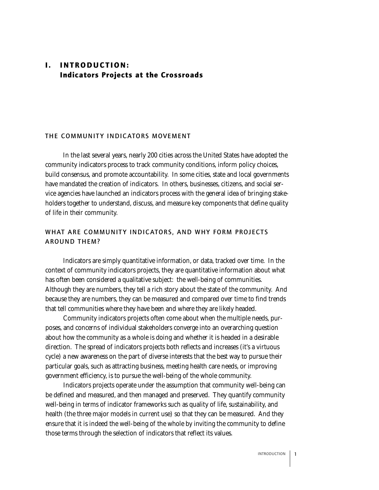# I. INTRODUCTION: Indicators Projects at the Crossroads

# THE COMMUNITY INDICATORS MOVEMENT

In the last several years, nearly 200 cities across the United States have adopted the community indicators process to track community conditions, inform policy choices, build consensus, and promote accountability. In some cities, state and local governments have mandated the creation of indicators. In others, businesses, citizens, and social service agencies have launched an indicators process with the general idea of bringing stakeholders together to understand, discuss, and measure key components that define quality of life in their community.

# WHAT ARE COMMUNITY INDICATORS, AND WHY FORM PROJECTS AROUND THEM?

Indicators are simply quantitative information, or data, tracked over time. In the context of community indicators projects, they are quantitative information about what has often been considered a qualitative subject: the well-being of communities. Although they are numbers, they tell a rich story about the state of the community. And because they are numbers, they can be measured and compared over time to find trends that tell communities where they have been and where they are likely headed.

Community indicators projects often come about when the multiple needs, purposes, and concerns of individual stakeholders converge into an overarching question about how the community as a whole is doing and whether it is headed in a desirable direction. The spread of indicators projects both reflects and increases (it's a virtuous cycle) a new awareness on the part of diverse interests that the best way to pursue their particular goals, such as attracting business, meeting health care needs, or improving government efficiency, is to pursue the well-being of the whole community.

Indicators projects operate under the assumption that community well-being can be defined and measured, and then managed and preserved. They quantify community well-being in terms of indicator frameworks such as quality of life, sustainability, and health (the three major models in current use) so that they can be measured. And they ensure that it is indeed the well-being of the whole by inviting the community to define those terms through the selection of indicators that reflect its values.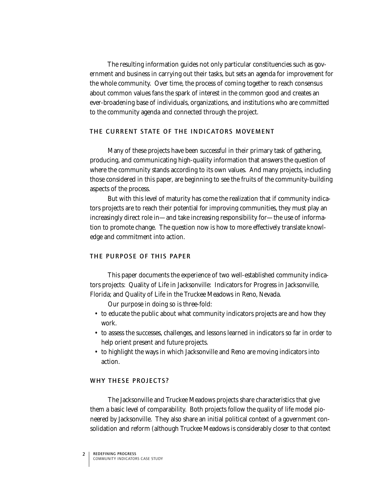The resulting information guides not only particular constituencies such as government and business in carrying out their tasks, but sets an agenda for improvement for the whole community. Over time, the process of coming together to reach consensus about common values fans the spark of interest in the common good and creates an ever-broadening base of individuals, organizations, and institutions who are committed to the community agenda and connected through the project.

#### THE CURRENT STATE OF THE INDICATORS MOVEMENT

Many of these projects have been successful in their primary task of gathering, producing, and communicating high-quality information that answers the question of where the community stands according to its own values. And many projects, including those considered in this paper, are beginning to see the fruits of the community-building aspects of the process.

But with this level of maturity has come the realization that if community indicators projects are to reach their potential for improving communities, they must play an increasingly direct role in—and take increasing responsibility for—the use of information to promote change. The question now is how to more effectively translate knowledge and commitment into action.

# THE PURPOSE OF THIS PAPER

This paper documents the experience of two well-established community indicators projects: Quality of Life in Jacksonville: Indicators for Progress in Jacksonville, Florida; and Quality of Life in the Truckee Meadows in Reno, Nevada.

Our purpose in doing so is three-fold:

- to educate the public about what community indicators projects are and how they work.
- to assess the successes, challenges, and lessons learned in indicators so far in order to help orient present and future projects.
- to highlight the ways in which Jacksonville and Reno are moving indicators into action.

# WHY THESE PROJECTS?

The Jacksonville and Truckee Meadows projects share characteristics that give them a basic level of comparability. Both projects follow the quality of life model pioneered by Jacksonville. They also share an initial political context of a government consolidation and reform (although Truckee Meadows is considerably closer to that context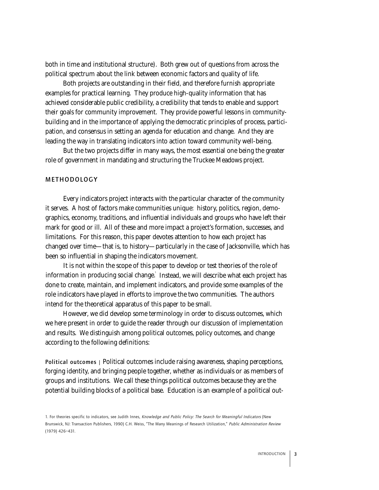both in time and institutional structure). Both grew out of questions from across the political spectrum about the link between economic factors and quality of life.

Both projects are outstanding in their field, and therefore furnish appropriate examples for practical learning. They produce high-quality information that has achieved considerable public credibility, a credibility that tends to enable and support their goals for community improvement. They provide powerful lessons in communitybuilding and in the importance of applying the democratic principles of process, participation, and consensus in setting an agenda for education and change. And they are leading the way in translating indicators into action toward community well-being.

But the two projects differ in many ways, the most essential one being the greater role of government in mandating and structuring the Truckee Meadows project.

#### METHODOLOGY

Every indicators project interacts with the particular character of the community it serves. A host of factors make communities unique: history, politics, region, demographics, economy, traditions, and influential individuals and groups who have left their mark for good or ill. All of these and more impact a project's formation, successes, and limitations. For this reason, this paper devotes attention to how each project has changed over time—that is, to history—particularly in the case of Jacksonville, which has been so influential in shaping the indicators movement.

It is not within the scope of this paper to develop or test theories of the role of information in producing social change. Instead, we will describe what each project has done to create, maintain, and implement indicators, and provide some examples of the role indicators have played in efforts to improve the two communities. The authors intend for the theoretical apparatus of this paper to be small.

However, we did develop some terminology in order to discuss outcomes, which we here present in order to guide the reader through our discussion of implementation and results. We distinguish among political outcomes, policy outcomes, and change according to the following definitions:

Political outcomes | Political outcomes include raising awareness, shaping perceptions, forging identity, and bringing people together, whether as individuals or as members of groups and institutions. We call these things political outcomes because they are the potential building blocks of a political base. Education is an example of a political out-

<sup>1.</sup> For theories specific to indicators, see Judith Innes, Knowledge and Public Policy: The Search for Meaningful Indicators (New Brunswick, NJ: Transaction Publishers, 1990) C.H. Weiss, "The Many Meanings of Research Utilization," Public Administration Review (1979) 426–431.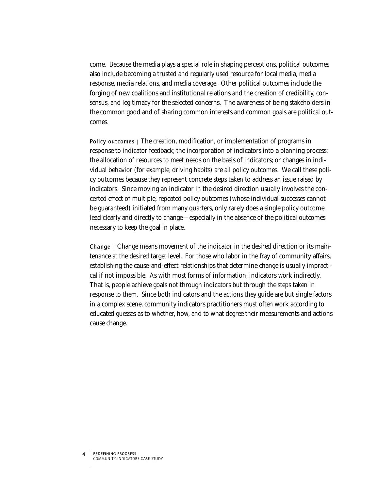come. Because the media plays a special role in shaping perceptions, political outcomes also include becoming a trusted and regularly used resource for local media, media response, media relations, and media coverage. Other political outcomes include the forging of new coalitions and institutional relations and the creation of credibility, consensus, and legitimacy for the selected concerns. The awareness of being stakeholders in the common good and of sharing common interests and common goals are political outcomes.

Policy outcomes | The creation, modification, or implementation of programs in response to indicator feedback; the incorporation of indicators into a planning process; the allocation of resources to meet needs on the basis of indicators; or changes in individual behavior (for example, driving habits) are all policy outcomes. We call these policy outcomes because they represent concrete steps taken to address an issue raised by indicators. Since moving an indicator in the desired direction usually involves the concerted effect of multiple, repeated policy outcomes (whose individual successes cannot be guaranteed) initiated from many quarters, only rarely does a single policy outcome lead clearly and directly to change—especially in the absence of the political outcomes necessary to keep the goal in place.

Change  $\vert$  Change means movement of the indicator in the desired direction or its maintenance at the desired target level. For those who labor in the fray of community affairs, establishing the cause-and-effect relationships that determine change is usually impractical if not impossible. As with most forms of information, indicators work indirectly. That is, people achieve goals not through indicators but through the steps taken in response to them. Since both indicators and the actions they guide are but single factors in a complex scene, community indicators practitioners must often work according to educated guesses as to whether, how, and to what degree their measurements and actions cause change.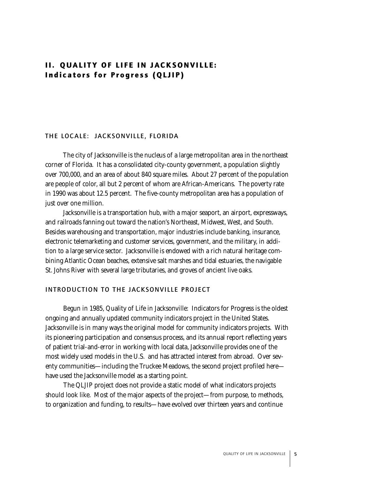# II. QUALITY OF LIFE IN JACKSONVILLE: Indicators for Progress (QLJIP)

### THE LOCALE: JACKSONVILLE, FLORIDA

The city of Jacksonville is the nucleus of a large metropolitan area in the northeast corner of Florida. It has a consolidated city-county government, a population slightly over 700,000, and an area of about 840 square miles. About 27 percent of the population are people of color, all but 2 percent of whom are African-Americans. The poverty rate in 1990 was about 12.5 percent. The five-county metropolitan area has a population of just over one million.

Jacksonville is a transportation hub, with a major seaport, an airport, expressways, and railroads fanning out toward the nation's Northeast, Midwest, West, and South. Besides warehousing and transportation, major industries include banking, insurance, electronic telemarketing and customer services, government, and the military, in addition to a large service sector. Jacksonville is endowed with a rich natural heritage combining Atlantic Ocean beaches, extensive salt marshes and tidal estuaries, the navigable St. Johns River with several large tributaries, and groves of ancient live oaks.

# INTRODUCTION TO THE JACKSONVILLE PROJECT

Begun in 1985, Quality of Life in Jacksonville: Indicators for Progress is the oldest ongoing and annually updated community indicators project in the United States. Jacksonville is in many ways the original model for community indicators projects. With its pioneering participation and consensus process, and its annual report reflecting years of patient trial-and-error in working with local data, Jacksonville provides one of the most widely used models in the U.S. and has attracted interest from abroad. Over seventy communities—including the Truckee Meadows, the second project profiled here have used the Jacksonville model as a starting point.

The QLJIP project does not provide a static model of what indicators projects should look like. Most of the major aspects of the project—from purpose, to methods, to organization and funding, to results—have evolved over thirteen years and continue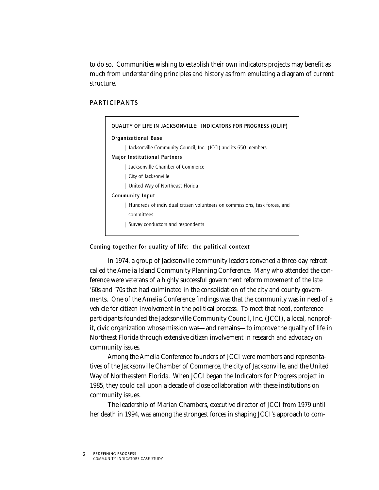to do so. Communities wishing to establish their own indicators projects may benefit as much from understanding principles and history as from emulating a diagram of current structure.

# **PARTICIPANTS**

| QUALITY OF LIFE IN JACKSONVILLE: INDICATORS FOR PROGRESS (QLJIP)           |
|----------------------------------------------------------------------------|
| Organizational Base                                                        |
| Jacksonville Community Council, Inc. (JCCI) and its 650 members            |
| Major Institutional Partners                                               |
| Jacksonville Chamber of Commerce                                           |
| City of Jacksonville                                                       |
| United Way of Northeast Florida                                            |
| <b>Community Input</b>                                                     |
| Hundreds of individual citizen volunteers on commissions, task forces, and |
| committees                                                                 |
| Survey conductors and respondents                                          |
|                                                                            |

Coming together for quality of life: the political context

In 1974, a group of Jacksonville community leaders convened a three-day retreat called the Amelia Island Community Planning Conference. Many who attended the conference were veterans of a highly successful government reform movement of the late '60s and '70s that had culminated in the consolidation of the city and county governments. One of the Amelia Conference findings was that the community was in need of a vehicle for citizen involvement in the political process. To meet that need, conference participants founded the Jacksonville Community Council, Inc. (JCCI), a local, nonprofit, civic organization whose mission was—and remains—to improve the quality of life in Northeast Florida through extensive citizen involvement in research and advocacy on community issues.

Among the Amelia Conference founders of JCCI were members and representatives of the Jacksonville Chamber of Commerce, the city of Jacksonville, and the United Way of Northeastern Florida. When JCCI began the Indicators for Progress project in 1985, they could call upon a decade of close collaboration with these institutions on community issues.

The leadership of Marian Chambers, executive director of JCCI from 1979 until her death in 1994, was among the strongest forces in shaping JCCI's approach to com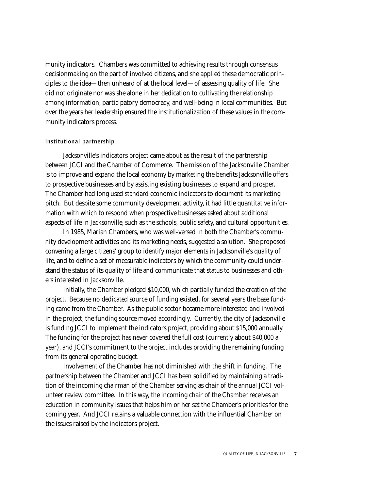munity indicators. Chambers was committed to achieving results through consensus decisionmaking on the part of involved citizens, and she applied these democratic principles to the idea—then unheard of at the local level—of assessing quality of life. She did not originate nor was she alone in her dedication to cultivating the relationship among information, participatory democracy, and well-being in local communities. But over the years her leadership ensured the institutionalization of these values in the community indicators process.

#### Institutional partnership

Jacksonville's indicators project came about as the result of the partnership between JCCI and the Chamber of Commerce. The mission of the Jacksonville Chamber is to improve and expand the local economy by marketing the benefits Jacksonville offers to prospective businesses and by assisting existing businesses to expand and prosper. The Chamber had long used standard economic indicators to document its marketing pitch. But despite some community development activity, it had little quantitative information with which to respond when prospective businesses asked about additional aspects of life in Jacksonville, such as the schools, public safety, and cultural opportunities.

In 1985, Marian Chambers, who was well-versed in both the Chamber's community development activities and its marketing needs, suggested a solution. She proposed convening a large citizens' group to identify major elements in Jacksonville's quality of life, and to define a set of measurable indicators by which the community could understand the status of its quality of life and communicate that status to businesses and others interested in Jacksonville.

Initially, the Chamber pledged \$10,000, which partially funded the creation of the project. Because no dedicated source of funding existed, for several years the base funding came from the Chamber. As the public sector became more interested and involved in the project, the funding source moved accordingly. Currently, the city of Jacksonville is funding JCCI to implement the indicators project, providing about \$15,000 annually. The funding for the project has never covered the full cost (currently about \$40,000 a year), and JCCI's commitment to the project includes providing the remaining funding from its general operating budget.

Involvement of the Chamber has not diminished with the shift in funding. The partnership between the Chamber and JCCI has been solidified by maintaining a tradition of the incoming chairman of the Chamber serving as chair of the annual JCCI volunteer review committee. In this way, the incoming chair of the Chamber receives an education in community issues that helps him or her set the Chamber's priorities for the coming year. And JCCI retains a valuable connection with the influential Chamber on the issues raised by the indicators project.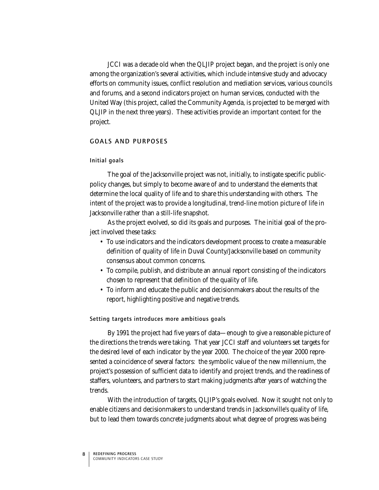JCCI was a decade old when the QLJIP project began, and the project is only one among the organization's several activities, which include intensive study and advocacy efforts on community issues, conflict resolution and mediation services, various councils and forums, and a second indicators project on human services, conducted with the United Way (this project, called the Community Agenda, is projected to be merged with QLJIP in the next three years). These activities provide an important context for the project.

# **GOALS AND PURPOSES**

#### Initial goals

The goal of the Jacksonville project was not, initially, to instigate specific publicpolicy changes, but simply to become aware of and to understand the elements that determine the local quality of life and to share this understanding with others. The intent of the project was to provide a longitudinal, trend-line motion picture of life in Jacksonville rather than a still-life snapshot.

As the project evolved, so did its goals and purposes. The initial goal of the project involved these tasks:

- To use indicators and the indicators development process to create a measurable definition of quality of life in Duval County/Jacksonville based on community consensus about common concerns.
- To compile, publish, and distribute an annual report consisting of the indicators chosen to represent that definition of the quality of life.
- To inform and educate the public and decisionmakers about the results of the report, highlighting positive and negative trends.

#### Setting targets introduces more ambitious goals

By 1991 the project had five years of data—enough to give a reasonable picture of the directions the trends were taking. That year JCCI staff and volunteers set targets for the desired level of each indicator by the year 2000. The choice of the year 2000 represented a coincidence of several factors: the symbolic value of the new millennium, the project's possession of sufficient data to identify and project trends, and the readiness of staffers, volunteers, and partners to start making judgments after years of watching the trends.

With the introduction of targets, QLJIP's goals evolved. Now it sought not only to enable citizens and decisionmakers to understand trends in Jacksonville's quality of life, but to lead them towards concrete judgments about what degree of progress was being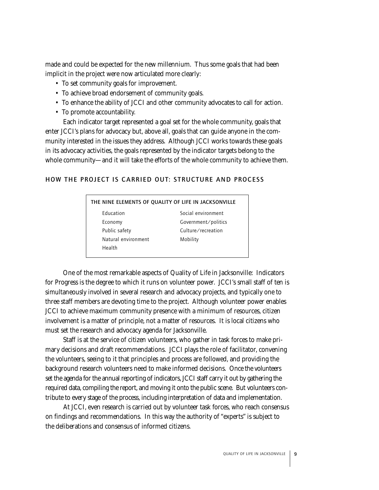made and could be expected for the new millennium. Thus some goals that had been implicit in the project were now articulated more clearly:

- To set community goals for improvement.
- To achieve broad endorsement of community goals.
- To enhance the ability of JCCI and other community advocates to call for action.
- To promote accountability.

Each indicator target represented a goal set for the whole community, goals that enter JCCI's plans for advocacy but, above all, goals that can guide anyone in the community interested in the issues they address. Although JCCI works towards these goals in its advocacy activities, the goals represented by the indicator targets belong to the whole community—and it will take the efforts of the whole community to achieve them.

# HOW THE PROJECT IS CARRIED OUT: STRUCTURE AND PROCESS

| THE NINE ELEMENTS OF QUALITY OF LIFE IN JACKSONVILLE |                     |  |
|------------------------------------------------------|---------------------|--|
| <b>Education</b>                                     | Social environment  |  |
| Economy                                              | Government/politics |  |
| Public safety                                        | Culture/recreation  |  |
| Natural environment                                  | Mobility            |  |
| Health                                               |                     |  |

One of the most remarkable aspects of Quality of Life in Jacksonville: Indicators for Progress is the degree to which it runs on volunteer power. JCCI's small staff of ten is simultaneously involved in several research and advocacy projects, and typically one to three staff members are devoting time to the project. Although volunteer power enables JCCI to achieve maximum community presence with a minimum of resources, citizen involvement is a matter of principle, not a matter of resources. It is local citizens who must set the research and advocacy agenda for Jacksonville.

Staff is at the service of citizen volunteers, who gather in task forces to make primary decisions and draft recommendations. JCCI plays the role of facilitator, convening the volunteers, seeing to it that principles and process are followed, and providing the background research volunteers need to make informed decisions. Once the volunteers set the agenda for the annual reporting of indicators, JCCI staff carry it out by gathering the required data, compiling the report, and moving it onto the public scene. But volunteers contribute to every stage of the process, including interpretation of data and implementation.

At JCCI, even research is carried out by volunteer task forces, who reach consensus on findings and recommendations. In this way the authority of "experts" is subject to the deliberations and consensus of informed citizens.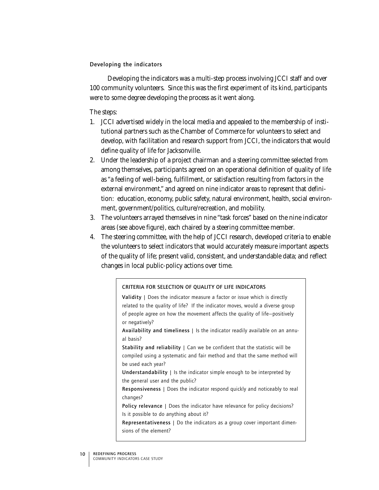# Developing the indicators

Developing the indicators was a multi-step process involving JCCI staff and over 100 community volunteers. Since this was the first experiment of its kind, participants were to some degree developing the process as it went along.

# The steps:

- 1. JCCI advertised widely in the local media and appealed to the membership of institutional partners such as the Chamber of Commerce for volunteers to select and develop, with facilitation and research support from JCCI, the indicators that would define quality of life for Jacksonville.
- 2. Under the leadership of a project chairman and a steering committee selected from among themselves, participants agreed on an operational definition of quality of life as "a feeling of well-being, fulfillment, or satisfaction resulting from factors in the external environment," and agreed on nine indicator areas to represent that definition: education, economy, public safety, natural environment, health, social environment, government/politics, culture/recreation, and mobility.
- 3. The volunteers arrayed themselves in nine "task forces" based on the nine indicator areas (see above figure), each chaired by a steering committee member.
- 4. The steering committee, with the help of JCCI research, developed criteria to enable the volunteers to select indicators that would accurately measure important aspects of the quality of life; present valid, consistent, and understandable data; and reflect changes in local public-policy actions over time.

# CRITERIA FOR SELECTION OF QUALITY OF LIFE INDICATORS

Validity | Does the indicator measure a factor or issue which is directly related to the quality of life? If the indicator moves, would a diverse group of people agree on how the movement affects the quality of life—positively or negatively? Availability and timeliness | Is the indicator readily available on an annual basis? Stability and reliability | Can we be confident that the statistic will be compiled using a systematic and fair method and that the same method will be used each year? Understandability | Is the indicator simple enough to be interpreted by the general user and the public? Responsiveness | Does the indicator respond quickly and noticeably to real changes? Policy relevance | Does the indicator have relevance for policy decisions? Is it possible to do anything about it? Representativeness | Do the indicators as a group cover important dimensions of the element?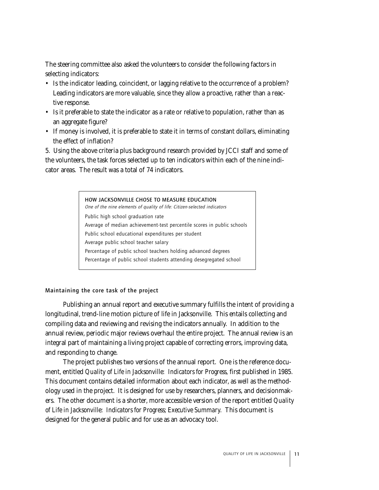The steering committee also asked the volunteers to consider the following factors in selecting indicators:

- Is the indicator leading, coincident, or lagging relative to the occurrence of a problem? Leading indicators are more valuable, since they allow a proactive, rather than a reactive response.
- Is it preferable to state the indicator as a rate or relative to population, rather than as an aggregate figure?
- If money is involved, it is preferable to state it in terms of constant dollars, eliminating the effect of inflation?

5. Using the above criteria plus background research provided by JCCI staff and some of the volunteers, the task forces selected up to ten indicators within each of the nine indicator areas. The result was a total of 74 indicators.



Maintaining the core task of the project

Publishing an annual report and executive summary fulfills the intent of providing a longitudinal, trend-line motion picture of life in Jacksonville. This entails collecting and compiling data and reviewing and revising the indicators annually. In addition to the annual review, periodic major reviews overhaul the entire project. The annual review is an integral part of maintaining a living project capable of correcting errors, improving data, and responding to change.

The project publishes two versions of the annual report. One is the reference document, entitled *Quality of Life in Jacksonville: Indicators for Progress,* first published in 1985. This document contains detailed information about each indicator, as well as the methodology used in the project. It is designed for use by researchers, planners, and decisionmakers. The other document is a shorter, more accessible version of the report entitled *Quality of Life in Jacksonville: Indicators for Progress; Executive Summary.* This document is designed for the general public and for use as an advocacy tool.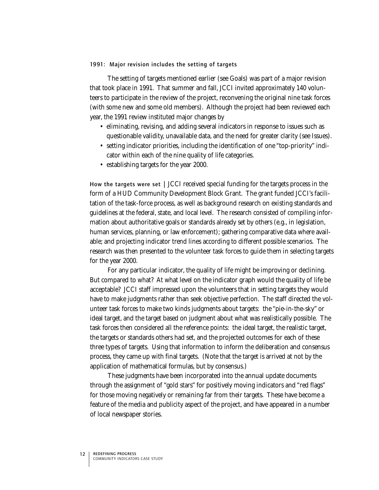#### 1991: Major revision includes the setting of targets

The setting of targets mentioned earlier (see Goals) was part of a major revision that took place in 1991. That summer and fall, JCCI invited approximately 140 volunteers to participate in the review of the project, reconvening the original nine task forces (with some new and some old members). Although the project had been reviewed each year, the 1991 review instituted major changes by

- eliminating, revising, and adding several indicators in response to issues such as questionable validity, unavailable data, and the need for greater clarity (see Issues).
- setting indicator priorities, including the identification of one "top-priority" indicator within each of the nine quality of life categories.
- establishing targets for the year 2000.

How the targets were set | JCCI received special funding for the targets process in the form of a HUD Community Development Block Grant. The grant funded JCCI's facilitation of the task-force process, as well as background research on existing standards and guidelines at the federal, state, and local level. The research consisted of compiling information about authoritative goals or standards already set by others (e.g., in legislation, human services, planning, or law enforcement); gathering comparative data where available; and projecting indicator trend lines according to different possible scenarios. The research was then presented to the volunteer task forces to guide them in selecting targets for the year 2000.

For any particular indicator, the quality of life might be improving or declining. But compared to what? At what level on the indicator graph would the quality of life be acceptable? JCCI staff impressed upon the volunteers that in setting targets they would have to make judgments rather than seek objective perfection. The staff directed the volunteer task forces to make two kinds judgments about targets: the "pie-in-the-sky" or ideal target, and the target based on judgment about what was realistically possible. The task forces then considered all the reference points: the ideal target, the realistic target, the targets or standards others had set, and the projected outcomes for each of these three types of targets. Using that information to inform the deliberation and consensus process, they came up with final targets. (Note that the target is arrived at not by the application of mathematical formulas, but by consensus.)

These judgments have been incorporated into the annual update documents through the assignment of "gold stars" for positively moving indicators and "red flags" for those moving negatively or remaining far from their targets. These have become a feature of the media and publicity aspect of the project, and have appeared in a number of local newspaper stories.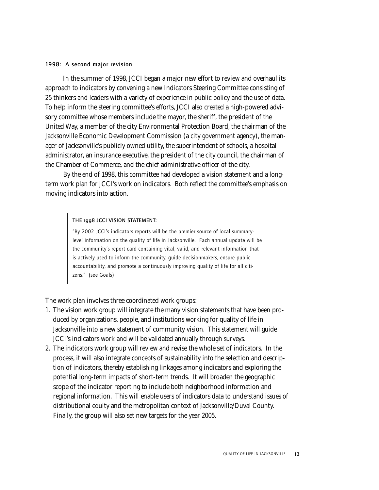#### 1998: A second major revision

In the summer of 1998, JCCI began a major new effort to review and overhaul its approach to indicators by convening a new Indicators Steering Committee consisting of 25 thinkers and leaders with a variety of experience in public policy and the use of data. To help inform the steering committee's efforts, JCCI also created a high-powered advisory committee whose members include the mayor, the sheriff, the president of the United Way, a member of the city Environmental Protection Board, the chairman of the Jacksonville Economic Development Commission (a city government agency), the manager of Jacksonville's publicly owned utility, the superintendent of schools, a hospital administrator, an insurance executive, the president of the city council, the chairman of the Chamber of Commerce, and the chief administrative officer of the city.

By the end of 1998, this committee had developed a vision statement and a longterm work plan for JCCI's work on indicators. Both reflect the committee's emphasis on moving indicators into action.

THE 1998 JCCI VISION STATEMENT:

"By 2002 JCCI's indicators reports will be the premier source of local summarylevel information on the quality of life in Jacksonville. Each annual update will be the community's report card containing vital, valid, and relevant information that is actively used to inform the community, guide decisionmakers, ensure public accountability, and promote a continuously improving quality of life for all citizens." (see Goals)

The work plan involves three coordinated work groups:

- 1. The vision work group will integrate the many vision statements that have been produced by organizations, people, and institutions working for quality of life in Jacksonville into a new statement of community vision. This statement will guide JCCI's indicators work and will be validated annually through surveys.
- 2. The indicators work group will review and revise the whole set of indicators. In the process, it will also integrate concepts of sustainability into the selection and description of indicators, thereby establishing linkages among indicators and exploring the potential long-term impacts of short-term trends. It will broaden the geographic scope of the indicator reporting to include both neighborhood information and regional information. This will enable users of indicators data to understand issues of distributional equity and the metropolitan context of Jacksonville/Duval County. Finally, the group will also set new targets for the year 2005.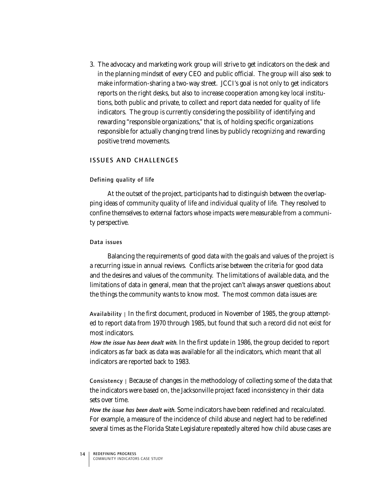3. The advocacy and marketing work group will strive to get indicators on the desk and in the planning mindset of every CEO and public official. The group will also seek to make information-sharing a two-way street. JCCI's goal is not only to get indicators reports on the right desks, but also to increase cooperation among key local institutions, both public and private, to collect and report data needed for quality of life indicators. The group is currently considering the possibility of identifying and rewarding "responsible organizations," that is, of holding specific organizations responsible for actually changing trend lines by publicly recognizing and rewarding positive trend movements.

# ISSUES AND CHALLENGES

#### Defining quality of life

At the outset of the project, participants had to distinguish between the overlapping ideas of community quality of life and individual quality of life. They resolved to confine themselves to external factors whose impacts were measurable from a community perspective.

# Data issues

Balancing the requirements of good data with the goals and values of the project is a recurring issue in annual reviews. Conflicts arise between the criteria for good data and the desires and values of the community. The limitations of available data, and the limitations of data in general, mean that the project can't always answer questions about the things the community wants to know most. The most common data issues are:

Availability  $\vert$  In the first document, produced in November of 1985, the group attempted to report data from 1970 through 1985, but found that such a record did not exist for most indicators.

How the issue has been dealt with. In the first update in 1986, the group decided to report indicators as far back as data was available for all the indicators, which meant that all indicators are reported back to 1983.

Consistency | Because of changes in the methodology of collecting some of the data that the indicators were based on, the Jacksonville project faced inconsistency in their data sets over time.

*How the issue has been dealt with.* Some indicators have been redefined and recalculated. For example, a measure of the incidence of child abuse and neglect had to be redefined several times as the Florida State Legislature repeatedly altered how child abuse cases are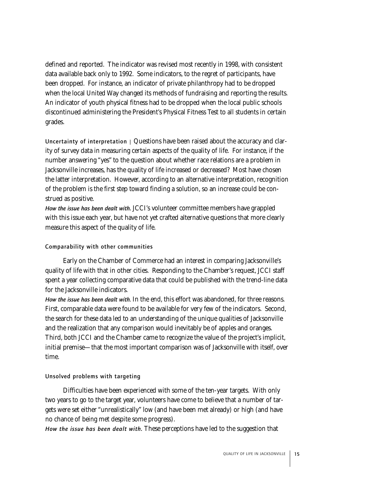defined and reported. The indicator was revised most recently in 1998, with consistent data available back only to 1992. Some indicators, to the regret of participants, have been dropped. For instance, an indicator of private philanthropy had to be dropped when the local United Way changed its methods of fundraising and reporting the results. An indicator of youth physical fitness had to be dropped when the local public schools discontinued administering the President's Physical Fitness Test to all students in certain grades.

Uncertainty of interpretation | Questions have been raised about the accuracy and clarity of survey data in measuring certain aspects of the quality of life. For instance, if the number answering "yes" to the question about whether race relations are a problem in Jacksonville increases, has the quality of life increased or decreased? Most have chosen the latter interpretation. However, according to an alternative interpretation, recognition of the problem is the first step toward finding a solution, so an increase could be construed as positive.

*How the issue has been dealt with.* JCCI's volunteer committee members have grappled with this issue each year, but have not yet crafted alternative questions that more clearly measure this aspect of the quality of life.

# Comparability with other communities

Early on the Chamber of Commerce had an interest in comparing Jacksonville's quality of life with that in other cities. Responding to the Chamber's request, JCCI staff spent a year collecting comparative data that could be published with the trend-line data for the Jacksonville indicators.

*How the issue has been dealt with.* In the end, this effort was abandoned, for three reasons. First, comparable data were found to be available for very few of the indicators. Second, the search for these data led to an understanding of the unique qualities of Jacksonville and the realization that any comparison would inevitably be of apples and oranges. Third, both JCCI and the Chamber came to recognize the value of the project's implicit, initial premise—that the most important comparison was of Jacksonville with itself, over time.

# Unsolved problems with targeting

Difficulties have been experienced with some of the ten-year targets. With only two years to go to the target year, volunteers have come to believe that a number of targets were set either "unrealistically" low (and have been met already) or high (and have no chance of being met despite some progress).

*How the issue has been dealt with.* These perceptions have led to the suggestion that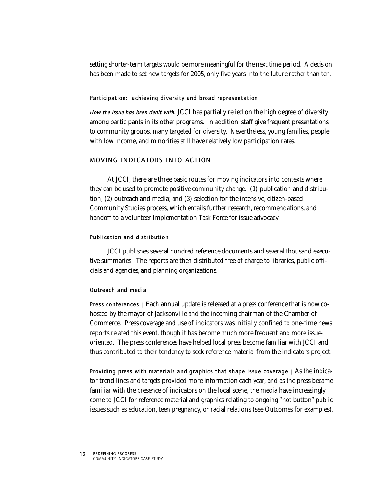setting shorter-term targets would be more meaningful for the next time period. A decision has been made to set new targets for 2005, only five years into the future rather than ten.

#### Participation: achieving diversity and broad representation

*How the issue has been dealt with.* JCCI has partially relied on the high degree of diversity among participants in its other programs. In addition, staff give frequent presentations to community groups, many targeted for diversity. Nevertheless, young families, people with low income, and minorities still have relatively low participation rates.

# MOVING INDICATORS INTO ACTION

At JCCI, there are three basic routes for moving indicators into contexts where they can be used to promote positive community change: (1) publication and distribution; (2) outreach and media; and (3) selection for the intensive, citizen-based Community Studies process, which entails further research, recommendations, and handoff to a volunteer Implementation Task Force for issue advocacy.

#### Publication and distribution

JCCI publishes several hundred reference documents and several thousand executive summaries. The reports are then distributed free of charge to libraries, public officials and agencies, and planning organizations.

# Outreach and media

Press conferences | Each annual update is released at a press conference that is now cohosted by the mayor of Jacksonville and the incoming chairman of the Chamber of Commerce. Press coverage and use of indicators was initially confined to one-time news reports related this event, though it has become much more frequent and more issueoriented. The press conferences have helped local press become familiar with JCCI and thus contributed to their tendency to seek reference material from the indicators project.

Providing press with materials and graphics that shape issue coverage  $\mid$  As the indicator trend lines and targets provided more information each year, and as the press became familiar with the presence of indicators on the local scene, the media have increasingly come to JCCI for reference material and graphics relating to ongoing "hot button" public issues such as education, teen pregnancy, or racial relations (see Outcomes for examples).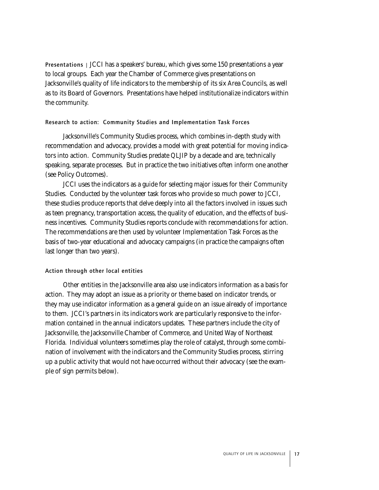Presentations | JCCI has a speakers' bureau, which gives some 150 presentations a year to local groups. Each year the Chamber of Commerce gives presentations on Jacksonville's quality of life indicators to the membership of its six Area Councils, as well as to its Board of Governors. Presentations have helped institutionalize indicators within the community.

#### Research to action: Community Studies and Implementation Task Forces

Jacksonville's Community Studies process, which combines in-depth study with recommendation and advocacy, provides a model with great potential for moving indicators into action. Community Studies predate QLJIP by a decade and are, technically speaking, separate processes. But in practice the two initiatives often inform one another (see Policy Outcomes).

JCCI uses the indicators as a guide for selecting major issues for their Community Studies. Conducted by the volunteer task forces who provide so much power to JCCI, these studies produce reports that delve deeply into all the factors involved in issues such as teen pregnancy, transportation access, the quality of education, and the effects of business incentives. Community Studies reports conclude with recommendations for action. The recommendations are then used by volunteer Implementation Task Forces as the basis of two-year educational and advocacy campaigns (in practice the campaigns often last longer than two years).

# Action through other local entities

Other entities in the Jacksonville area also use indicators information as a basis for action. They may adopt an issue as a priority or theme based on indicator trends, or they may use indicator information as a general guide on an issue already of importance to them. JCCI's partners in its indicators work are particularly responsive to the information contained in the annual indicators updates. These partners include the city of Jacksonville, the Jacksonville Chamber of Commerce, and United Way of Northeast Florida. Individual volunteers sometimes play the role of catalyst, through some combination of involvement with the indicators and the Community Studies process, stirring up a public activity that would not have occurred without their advocacy (see the example of sign permits below).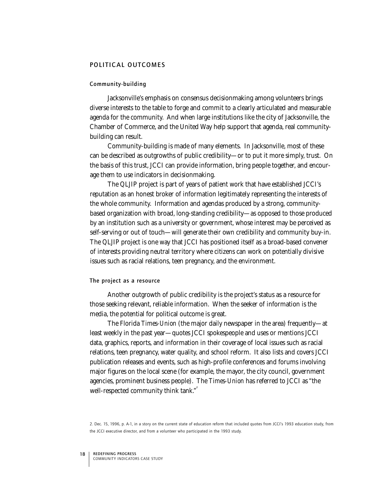# POLITICAL OUTCOMES

#### Community-building

Jacksonville's emphasis on consensus decisionmaking among volunteers brings diverse interests to the table to forge and commit to a clearly articulated and measurable agenda for the community. And when large institutions like the city of Jacksonville, the Chamber of Commerce, and the United Way help support that agenda, real communitybuilding can result.

Community-building is made of many elements. In Jacksonville, most of these can be described as outgrowths of public credibility—or to put it more simply, trust. On the basis of this trust, JCCI can provide information, bring people together, and encourage them to use indicators in decisionmaking.

The QLJIP project is part of years of patient work that have established JCCI's reputation as an honest broker of information legitimately representing the interests of the whole community. Information and agendas produced by a strong, communitybased organization with broad, long-standing credibility—as opposed to those produced by an institution such as a university or government, whose interest may be perceived as self-serving or out of touch—will generate their own credibility and community buy-in. The QLJIP project is one way that JCCI has positioned itself as a broad-based convener of interests providing neutral territory where citizens can work on potentially divisive issues such as racial relations, teen pregnancy, and the environment.

#### The project as a resource

Another outgrowth of public credibility is the project's status as a resource for those seeking relevant, reliable information. When the seeker of information is the media, the potential for political outcome is great.

The Florida *Times-Union* (the major daily newspaper in the area) frequently—at least weekly in the past year—quotes JCCI spokespeople and uses or mentions JCCI data, graphics, reports, and information in their coverage of local issues such as racial relations, teen pregnancy, water quality, and school reform. It also lists and covers JCCI publication releases and events, such as high-profile conferences and forums involving major figures on the local scene (for example, the mayor, the city council, government agencies, prominent business people). The *Times-Union* has referred to JCCI as "the well-respected community think tank." 2

<sup>2.</sup> Dec. 15, 1996, p. A-1, in a story on the current state of education reform that included quotes from JCCI's 1993 education study, from the JCCI executive director, and from a volunteer who participated in the 1993 study.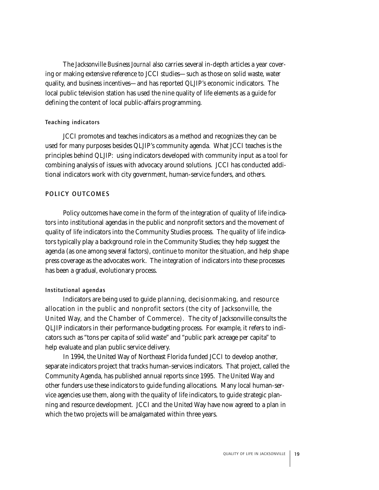The *Jacksonville Business Journal* also carries several in-depth articles a year covering or making extensive reference to JCCI studies—such as those on solid waste, water quality, and business incentives—and has reported QLJIP's economic indicators. The local public television station has used the nine quality of life elements as a guide for defining the content of local public-affairs programming.

# Teaching indicators

JCCI promotes and teaches indicators as a method and recognizes they can be used for many purposes besides QLJIP's community agenda. What JCCI teaches is the principles behind QLJIP: using indicators developed with community input as a tool for combining analysis of issues with advocacy around solutions. JCCI has conducted additional indicators work with city government, human-service funders, and others.

# POLICY OUTCOMES

Policy outcomes have come in the form of the integration of quality of life indicators into institutional agendas in the public and nonprofit sectors and the movement of quality of life indicators into the Community Studies process. The quality of life indicators typically play a background role in the Community Studies; they help suggest the agenda (as one among several factors), continue to monitor the situation, and help shape press coverage as the advocates work. The integration of indicators into these processes has been a gradual, evolutionary process.

# Institutional agendas

Indicators are being used to guide planning, decisionmaking, and resource allocation in the public and nonprofit sectors (the city of Jacksonville, the United Way, and the Chamber of Commerce). The city of Jacksonville consults the QLJIP indicators in their performance-budgeting process. For example, it refers to indicators such as "tons per capita of solid waste" and "public park acreage per capita" to help evaluate and plan public service delivery.

In 1994, the United Way of Northeast Florida funded JCCI to develop another, separate indicators project that tracks human-services indicators. That project, called the Community Agenda, has published annual reports since 1995. The United Way and other funders use these indicators to guide funding allocations. Many local human-service agencies use them, along with the quality of life indicators, to guide strategic planning and resource development. JCCI and the United Way have now agreed to a plan in which the two projects will be amalgamated within three years.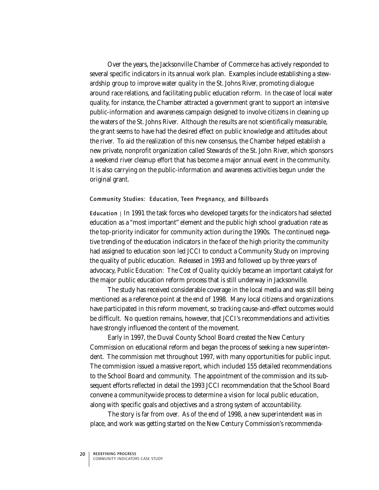Over the years, the Jacksonville Chamber of Commerce has actively responded to several specific indicators in its annual work plan. Examples include establishing a stewardship group to improve water quality in the St. Johns River, promoting dialogue around race relations, and facilitating public education reform. In the case of local water quality, for instance, the Chamber attracted a government grant to support an intensive public-information and awareness campaign designed to involve citizens in cleaning up the waters of the St. Johns River. Although the results are not scientifically measurable, the grant seems to have had the desired effect on public knowledge and attitudes about the river. To aid the realization of this new consensus, the Chamber helped establish a new private, nonprofit organization called Stewards of the St. John River, which sponsors a weekend river cleanup effort that has become a major annual event in the community. It is also carrying on the public-information and awareness activities begun under the original grant.

#### Community Studies: Education, Teen Pregnancy, and Billboards

Education  $\mid$  In 1991 the task forces who developed targets for the indicators had selected education as a "most important" element and the public high school graduation rate as the top-priority indicator for community action during the 1990s. The continued negative trending of the education indicators in the face of the high priority the community had assigned to education soon led JCCI to conduct a Community Study on improving the quality of public education. Released in 1993 and followed up by three years of advocacy, *Public Education: The Cost of Quality* quickly became an important catalyst for the major public education reform process that is still underway in Jacksonville.

The study has received considerable coverage in the local media and was still being mentioned as a reference point at the end of 1998. Many local citizens and organizations have participated in this reform movement, so tracking cause-and-effect outcomes would be difficult. No question remains, however, that JCCI's recommendations and activities have strongly influenced the content of the movement.

Early in 1997, the Duval County School Board created the New Century Commission on educational reform and began the process of seeking a new superintendent. The commission met throughout 1997, with many opportunities for public input. The commission issued a massive report, which included 155 detailed recommendations to the School Board and community. The appointment of the commission and its subsequent efforts reflected in detail the 1993 JCCI recommendation that the School Board convene a communitywide process to determine a vision for local public education, along with specific goals and objectives and a strong system of accountability.

The story is far from over. As of the end of 1998, a new superintendent was in place, and work was getting started on the New Century Commission's recommenda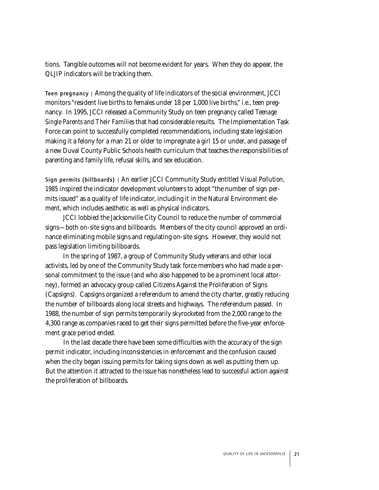tions. Tangible outcomes will not become evident for years. When they do appear, the QLJIP indicators will be tracking them.

Teen pregnancy | Among the quality of life indicators of the social environment, JCCI monitors "resident live births to females under 18 per 1,000 live births," i.e., teen pregnancy. In 1995, JCCI released a Community Study on teen pregnancy called *Teenage Single Parents and Their Families* that had considerable results. The Implementation Task Force can point to successfully completed recommendations, including state legislation making it a felony for a man 21 or older to impregnate a girl 15 or under, and passage of a new Duval County Public Schools health curriculum that teaches the responsibilities of parenting and family life, refusal skills, and sex education.

Sign permits (billboards) | An earlier JCCI Community Study entitled *Visual Pollution, 1985* inspired the indicator development volunteers to adopt "the number of sign permits issued" as a quality of life indicator, including it in the Natural Environment element, which includes aesthetic as well as physical indicators.

JCCI lobbied the Jacksonville City Council to reduce the number of commercial signs—both on-site signs and billboards. Members of the city council approved an ordinance eliminating mobile signs and regulating on-site signs. However, they would not pass legislation limiting billboards.

In the spring of 1987, a group of Community Study veterans and other local activists, led by one of the Community Study task force members who had made a personal commitment to the issue (and who also happened to be a prominent local attorney), formed an advocacy group called Citizens Against the Proliferation of Signs (Capsigns). Capsigns organized a referendum to amend the city charter, greatly reducing the number of billboards along local streets and highways. The referendum passed. In 1988, the number of sign permits temporarily skyrocketed from the 2,000 range to the 4,300 range as companies raced to get their signs permitted before the five-year enforcement grace period ended.

In the last decade there have been some difficulties with the accuracy of the sign permit indicator, including inconsistencies in enforcement and the confusion caused when the city began issuing permits for taking signs down as well as putting them up. But the attention it attracted to the issue has nonetheless lead to successful action against the proliferation of billboards.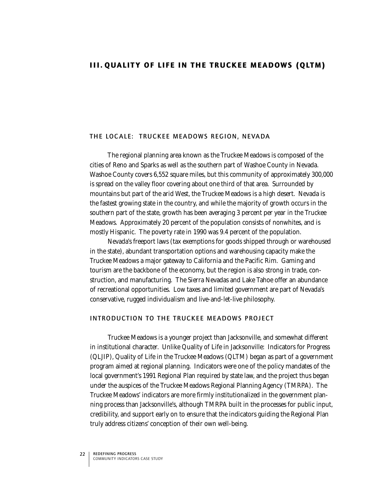# III. QUALITY OF LIFE IN THE TRUCKEE MEADOWS (QLTM)

#### THE LOCALE: TRUCKEE MEADOWS REGION, NEVADA

The regional planning area known as the Truckee Meadows is composed of the cities of Reno and Sparks as well as the southern part of Washoe County in Nevada. Washoe County covers 6,552 square miles, but this community of approximately 300,000 is spread on the valley floor covering about one third of that area. Surrounded by mountains but part of the arid West, the Truckee Meadows is a high desert. Nevada is the fastest growing state in the country, and while the majority of growth occurs in the southern part of the state, growth has been averaging 3 percent per year in the Truckee Meadows. Approximately 20 percent of the population consists of nonwhites, and is mostly Hispanic. The poverty rate in 1990 was 9.4 percent of the population.

Nevada's freeport laws (tax exemptions for goods shipped through or warehoused in the state), abundant transportation options and warehousing capacity make the Truckee Meadows a major gateway to California and the Pacific Rim. Gaming and tourism are the backbone of the economy, but the region is also strong in trade, construction, and manufacturing. The Sierra Nevadas and Lake Tahoe offer an abundance of recreational opportunities. Low taxes and limited government are part of Nevada's conservative, rugged individualism and live-and-let-live philosophy.

#### INTRODUCTION TO THE TRUCKEE MEADOWS PROJECT

Truckee Meadows is a younger project than Jacksonville, and somewhat different in institutional character. Unlike Quality of Life in Jacksonville: Indicators for Progress (QLJIP), Quality of Life in the Truckee Meadows (QLTM) began as part of a government program aimed at regional planning. Indicators were one of the policy mandates of the local government's 1991 Regional Plan required by state law, and the project thus began under the auspices of the Truckee Meadows Regional Planning Agency (TMRPA). The Truckee Meadows' indicators are more firmly institutionalized in the government planning process than Jacksonville's, although TMRPA built in the processes for public input, credibility, and support early on to ensure that the indicators guiding the Regional Plan truly address citizens' conception of their own well-being.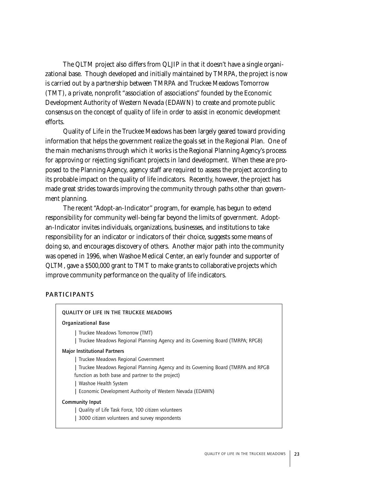The QLTM project also differs from QLJIP in that it doesn't have a single organizational base. Though developed and initially maintained by TMRPA, the project is now is carried out by a partnership between TMRPA and Truckee Meadows Tomorrow (TMT), a private, nonprofit "association of associations" founded by the Economic Development Authority of Western Nevada (EDAWN) to create and promote public consensus on the concept of quality of life in order to assist in economic development efforts.

Quality of Life in the Truckee Meadows has been largely geared toward providing information that helps the government realize the goals set in the Regional Plan. One of the main mechanisms through which it works is the Regional Planning Agency's process for approving or rejecting significant projects in land development. When these are proposed to the Planning Agency, agency staff are required to assess the project according to its probable impact on the quality of life indicators. Recently, however, the project has made great strides towards improving the community through paths other than government planning.

The recent "Adopt-an-Indicator" program, for example, has begun to extend responsibility for community well-being far beyond the limits of government. Adoptan-Indicator invites individuals, organizations, businesses, and institutions to take responsibility for an indicator or indicators of their choice, suggests some means of doing so, and encourages discovery of others. Another major path into the community was opened in 1996, when Washoe Medical Center, an early founder and supporter of QLTM, gave a \$500,000 grant to TMT to make grants to collaborative projects which improve community performance on the quality of life indicators.

# **PARTICIPANTS**

| QUALITY OF LIFE IN THE TRUCKEE MEADOWS                                            |
|-----------------------------------------------------------------------------------|
| <b>Organizational Base</b>                                                        |
| Truckee Meadows Tomorrow (TMT)                                                    |
| Truckee Meadows Regional Planning Agency and its Governing Board (TMRPA; RPGB)    |
| <b>Major Institutional Partners</b>                                               |
| Truckee Meadows Regional Government                                               |
| Truckee Meadows Regional Planning Agency and its Governing Board (TMRPA and RPGB) |
| function as both base and partner to the project)                                 |
| Washoe Health System                                                              |
| Economic Development Authority of Western Nevada (EDAWN)                          |
| <b>Community Input</b>                                                            |
| Quality of Life Task Force, 100 citizen volunteers                                |
| 3000 citizen volunteers and survey respondents                                    |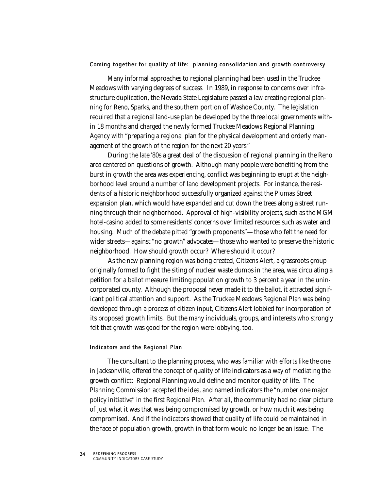# Coming together for quality of life: planning consolidation and growth controversy

Many informal approaches to regional planning had been used in the Truckee Meadows with varying degrees of success. In 1989, in response to concerns over infrastructure duplication, the Nevada State Legislature passed a law creating regional planning for Reno, Sparks, and the southern portion of Washoe County. The legislation required that a regional land-use plan be developed by the three local governments within 18 months and charged the newly formed Truckee Meadows Regional Planning Agency with "preparing a regional plan for the physical development and orderly management of the growth of the region for the next 20 years."

During the late '80s a great deal of the discussion of regional planning in the Reno area centered on questions of growth. Although many people were benefiting from the burst in growth the area was experiencing, conflict was beginning to erupt at the neighborhood level around a number of land development projects. For instance, the residents of a historic neighborhood successfully organized against the Plumas Street expansion plan, which would have expanded and cut down the trees along a street running through their neighborhood. Approval of high-visibility projects, such as the MGM hotel-casino added to some residents' concerns over limited resources such as water and housing. Much of the debate pitted "growth proponents"—those who felt the need for wider streets—against "no growth" advocates—those who wanted to preserve the historic neighborhood. How should growth occur? Where should it occur?

As the new planning region was being created, Citizens Alert, a grassroots group originally formed to fight the siting of nuclear waste dumps in the area, was circulating a petition for a ballot measure limiting population growth to 3 percent a year in the unincorporated county. Although the proposal never made it to the ballot, it attracted significant political attention and support. As the Truckee Meadows Regional Plan was being developed through a process of citizen input, Citizens Alert lobbied for incorporation of its proposed growth limits. But the many individuals, groups, and interests who strongly felt that growth was good for the region were lobbying, too.

#### Indicators and the Regional Plan

The consultant to the planning process, who was familiar with efforts like the one in Jacksonville, offered the concept of quality of life indicators as a way of mediating the growth conflict: Regional Planning would define and monitor quality of life. The Planning Commission accepted the idea, and named indicators the "number one major policy initiative" in the first Regional Plan. After all, the community had no clear picture of just what it was that was being compromised by growth, or how much it was being compromised. And if the indicators showed that quality of life could be maintained in the face of population growth, growth in that form would no longer be an issue. The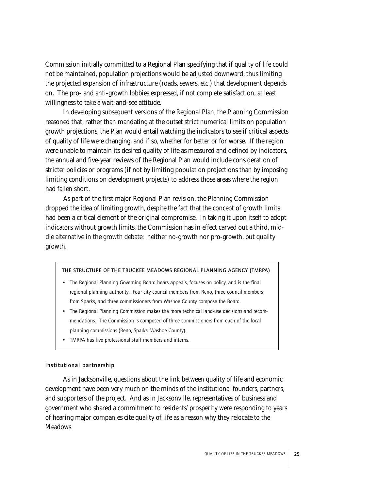Commission initially committed to a Regional Plan specifying that if quality of life could not be maintained, population projections would be adjusted downward, thus limiting the projected expansion of infrastructure (roads, sewers, etc.) that development depends on. The pro- and anti-growth lobbies expressed, if not complete satisfaction, at least willingness to take a wait-and-see attitude.

In developing subsequent versions of the Regional Plan, the Planning Commission reasoned that, rather than mandating at the outset strict numerical limits on population growth projections, the Plan would entail watching the indicators to see if critical aspects of quality of life were changing, and if so, whether for better or for worse. If the region were unable to maintain its desired quality of life as measured and defined by indicators, the annual and five-year reviews of the Regional Plan would include consideration of stricter policies or programs (if not by limiting population projections than by imposing limiting conditions on development projects) to address those areas where the region had fallen short.

As part of the first major Regional Plan revision, the Planning Commission dropped the idea of limiting growth, despite the fact that the concept of growth limits had been a critical element of the original compromise. In taking it upon itself to adopt indicators without growth limits, the Commission has in effect carved out a third, middle alternative in the growth debate: neither no-growth nor pro-growth, but quality growth.

# THE STRUCTURE OF THE TRUCKEE MEADOWS REGIONAL PLANNING AGENCY (TMRPA)

- The Regional Planning Governing Board hears appeals, focuses on policy, and is the final regional planning authority. Four city council members from Reno, three council members from Sparks, and three commissioners from Washoe County compose the Board.
- The Regional Planning Commission makes the more technical land-use decisions and recommendations. The Commission is composed of three commissioners from each of the local planning commissions (Reno, Sparks, Washoe County).
- TMRPA has five professional staff members and interns.

# Institutional partnership

As in Jacksonville, questions about the link between quality of life and economic development have been very much on the minds of the institutional founders, partners, and supporters of the project. And as in Jacksonville, representatives of business and government who shared a commitment to residents' prosperity were responding to years of hearing major companies cite quality of life as a reason why they relocate to the Meadows.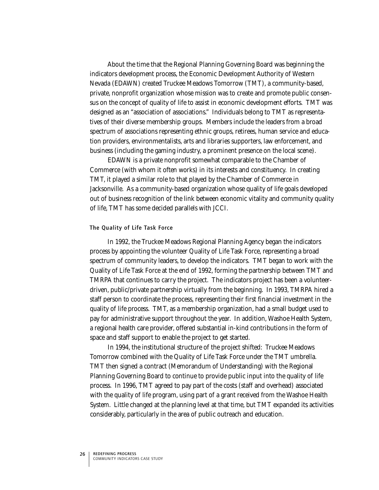About the time that the Regional Planning Governing Board was beginning the indicators development process, the Economic Development Authority of Western Nevada (EDAWN) created Truckee Meadows Tomorrow (TMT), a community-based, private, nonprofit organization whose mission was to create and promote public consensus on the concept of quality of life to assist in economic development efforts. TMT was designed as an "association of associations." Individuals belong to TMT as representatives of their diverse membership groups. Members include the leaders from a broad spectrum of associations representing ethnic groups, retirees, human service and education providers, environmentalists, arts and libraries supporters, law enforcement, and business (including the gaming industry, a prominent presence on the local scene).

EDAWN is a private nonprofit somewhat comparable to the Chamber of Commerce (with whom it often works) in its interests and constituency. In creating TMT, it played a similar role to that played by the Chamber of Commerce in Jacksonville. As a community-based organization whose quality of life goals developed out of business recognition of the link between economic vitality and community quality of life, TMT has some decided parallels with JCCI.

#### The Quality of Life Task Force

In 1992, the Truckee Meadows Regional Planning Agency began the indicators process by appointing the volunteer Quality of Life Task Force, representing a broad spectrum of community leaders, to develop the indicators. TMT began to work with the Quality of Life Task Force at the end of 1992, forming the partnership between TMT and TMRPA that continues to carry the project. The indicators project has been a volunteerdriven, public/private partnership virtually from the beginning. In 1993, TMRPA hired a staff person to coordinate the process, representing their first financial investment in the quality of life process. TMT, as a membership organization, had a small budget used to pay for administrative support throughout the year. In addition, Washoe Health System, a regional health care provider, offered substantial in-kind contributions in the form of space and staff support to enable the project to get started.

In 1994, the institutional structure of the project shifted: Truckee Meadows Tomorrow combined with the Quality of Life Task Force under the TMT umbrella. TMT then signed a contract (Memorandum of Understanding) with the Regional Planning Governing Board to continue to provide public input into the quality of life process. In 1996, TMT agreed to pay part of the costs (staff and overhead) associated with the quality of life program, using part of a grant received from the Washoe Health System. Little changed at the planning level at that time, but TMT expanded its activities considerably, particularly in the area of public outreach and education.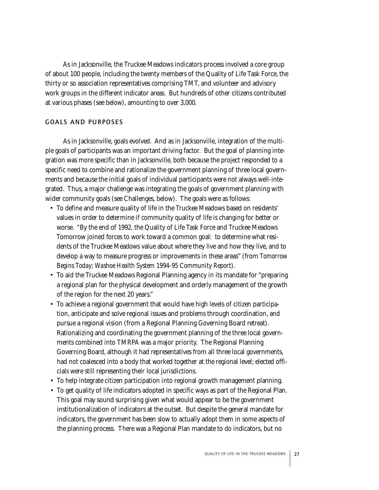As in Jacksonville, the Truckee Meadows indicators process involved a core group of about 100 people, including the twenty members of the Quality of Life Task Force, the thirty or so association representatives comprising TMT, and volunteer and advisory work groups in the different indicator areas. But hundreds of other citizens contributed at various phases (see below), amounting to over 3,000.

# GOALS AND PURPOSES

As in Jacksonville, goals evolved. And as in Jacksonville, integration of the multiple goals of participants was an important driving factor. But the goal of planning integration was more specific than in Jacksonville, both because the project responded to a specific need to combine and rationalize the government planning of three local governments and because the initial goals of individual participants were not always well-integrated. Thus, a major challenge was integrating the goals of government planning with wider community goals (see Challenges, below). The goals were as follows:

- To define and measure quality of life in the Truckee Meadows based on residents' values in order to determine if community quality of life is changing for better or worse. "By the end of 1992, the Quality of Life Task Force and Truckee Meadows Tomorrow joined forces to work toward a common goal: to determine what residents of the Truckee Meadows value about where they live and how they live, and to develop a way to measure progress or improvements in these areas" (from *Tomorrow Begins Today; Washoe Health System 1994-95 Community Report*).
- To aid the Truckee Meadows Regional Planning agency in its mandate for "preparing a regional plan for the physical development and orderly management of the growth of the region for the next 20 years."
- To achieve a regional government that would have high levels of citizen participation, anticipate and solve regional issues and problems through coordination, and pursue a regional vision (from a Regional Planning Governing Board retreat). Rationalizing and coordinating the government planning of the three local governments combined into TMRPA was a major priority. The Regional Planning Governing Board, although it had representatives from all three local governments, had not coalesced into a body that worked together at the regional level; elected officials were still representing their local jurisdictions.
- To help integrate citizen participation into regional growth management planning.
- To get quality of life indicators adopted in specific ways as part of the Regional Plan. This goal may sound surprising given what would appear to be the government institutionalization of indicators at the outset. But despite the general mandate for indicators, the government has been slow to actually adopt them in some aspects of the planning process. There was a Regional Plan mandate to do indicators, but no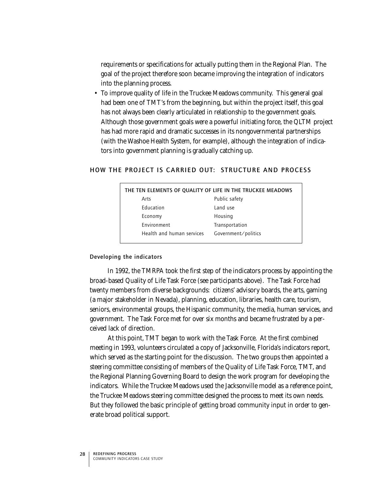requirements or specifications for actually putting them in the Regional Plan. The goal of the project therefore soon became improving the integration of indicators into the planning process.

• To improve quality of life in the Truckee Meadows community. This general goal had been one of TMT's from the beginning, but within the project itself, this goal has not always been clearly articulated in relationship to the government goals. Although those government goals were a powerful initiating force, the QLTM project has had more rapid and dramatic successes in its nongovernmental partnerships (with the Washoe Health System, for example), although the integration of indicators into government planning is gradually catching up.

# HOW THE PROJECT IS CARRIED OUT: STRUCTURE AND PROCESS

| THE TEN ELEMENTS OF QUALITY OF LIFE IN THE TRUCKEE MEADOWS |                     |  |
|------------------------------------------------------------|---------------------|--|
| Arts                                                       | Public safety       |  |
| <b>Education</b>                                           | Land use            |  |
| Economy                                                    | Housing             |  |
| Environment                                                | Transportation      |  |
| Health and human services                                  | Government/politics |  |

#### Developing the indicators

In 1992, the TMRPA took the first step of the indicators process by appointing the broad-based Quality of Life Task Force (see participants above). The Task Force had twenty members from diverse backgrounds: citizens' advisory boards, the arts, gaming (a major stakeholder in Nevada), planning, education, libraries, health care, tourism, seniors, environmental groups, the Hispanic community, the media, human services, and government. The Task Force met for over six months and became frustrated by a perceived lack of direction.

At this point, TMT began to work with the Task Force. At the first combined meeting in 1993, volunteers circulated a copy of Jacksonville, Florida's indicators report, which served as the starting point for the discussion. The two groups then appointed a steering committee consisting of members of the Quality of Life Task Force, TMT, and the Regional Planning Governing Board to design the work program for developing the indicators. While the Truckee Meadows used the Jacksonville model as a reference point, the Truckee Meadows steering committee designed the process to meet its own needs. But they followed the basic principle of getting broad community input in order to generate broad political support.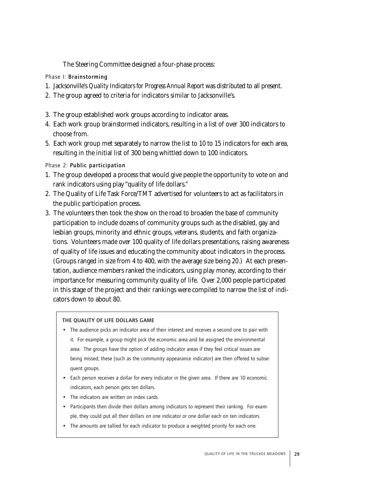The Steering Committee designed a four-phase process:

Phase I: Brainstorming

- 1. Jacksonville's *Quality Indicators for Progress Annual Report* was distributed to all present.
- 2. The group agreed to criteria for indicators similar to Jacksonville's.
- 3. The group established work groups according to indicator areas.
- 4. Each work group brainstormed indicators, resulting in a list of over 300 indicators to choose from.
- 5. Each work group met separately to narrow the list to 10 to 15 indicators for each area, resulting in the initial list of 300 being whittled down to 100 indicators.

Phase 2: Public participation

- 1. The group developed a process that would give people the opportunity to vote on and rank indicators using play "quality of life dollars."
- 2. The Quality of Life Task Force/TMT advertised for volunteers to act as facilitators in the public participation process.
- 3. The volunteers then took the show on the road to broaden the base of community participation to include dozens of community groups such as the disabled, gay and lesbian groups, minority and ethnic groups, veterans, students, and faith organizations. Volunteers made over 100 quality of life dollars presentations, raising awareness of quality of life issues and educating the community about indicators in the process. (Groups ranged in size from 4 to 400, with the average size being 20.) At each presentation, audience members ranked the indicators, using play money, according to their importance for measuring community quality of life. Over 2,000 people participated in this stage of the project and their rankings were compiled to narrow the list of indicators down to about 80.

# THE QUALITY OF LIFE DOLLARS GAME

- The audience picks an indicator area of their interest and receives a second one to pair with it. For example, a group might pick the economic area and be assigned the environmental area. The groups have the option of adding indicator areas if they feel critical issues are being missed; these (such as the community appearance indicator) are then offered to subsequent groups.
- Each person receives a dollar for every indicator in the given area. If there are 10 economic indicators, each person gets ten dollars.
- The indicators are written on index cards.
- Participants then divide their dollars among indicators to represent their ranking. For example, they could put all their dollars on one indicator or one dollar each on ten indicators.
- The amounts are tallied for each indicator to produce a weighted priority for each one.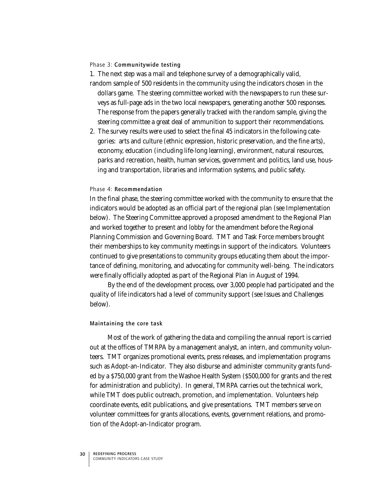#### Phase 3: Communitywide testing

1. The next step was a mail and telephone survey of a demographically valid,

- random sample of 500 residents in the community using the indicators chosen in the dollars game. The steering committee worked with the newspapers to run these surveys as full-page ads in the two local newspapers, generating another 500 responses. The response from the papers generally tracked with the random sample, giving the steering committee a great deal of ammunition to support their recommendations.
- 2. The survey results were used to select the final 45 indicators in the following categories: arts and culture (ethnic expression, historic preservation, and the fine arts), economy, education (including life-long learning), environment, natural resources, parks and recreation, health, human services, government and politics, land use, housing and transportation, libraries and information systems, and public safety.

#### Phase 4: Recommendation

In the final phase, the steering committee worked with the community to ensure that the indicators would be adopted as an official part of the regional plan (see Implementation below). The Steering Committee approved a proposed amendment to the Regional Plan and worked together to present and lobby for the amendment before the Regional Planning Commission and Governing Board. TMT and Task Force members brought their memberships to key community meetings in support of the indicators. Volunteers continued to give presentations to community groups educating them about the importance of defining, monitoring, and advocating for community well-being. The indicators were finally officially adopted as part of the Regional Plan in August of 1994.

By the end of the development process, over 3,000 people had participated and the quality of life indicators had a level of community support (see Issues and Challenges below).

#### Maintaining the core task

Most of the work of gathering the data and compiling the annual report is carried out at the offices of TMRPA by a management analyst, an intern, and community volunteers. TMT organizes promotional events, press releases, and implementation programs such as Adopt-an-Indicator. They also disburse and administer community grants funded by a \$750,000 grant from the Washoe Health System (\$500,000 for grants and the rest for administration and publicity). In general, TMRPA carries out the technical work, while TMT does public outreach, promotion, and implementation. Volunteers help coordinate events, edit publications, and give presentations. TMT members serve on volunteer committees for grants allocations, events, government relations, and promotion of the Adopt-an-Indicator program.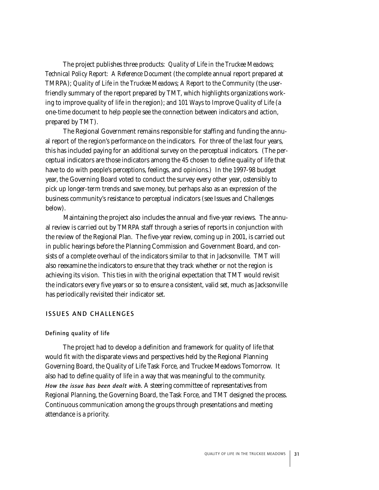The project publishes three products: *Quality of Life in the Truckee Meadows; Technical Policy Report: A Reference Document* (the complete annual report prepared at TMRPA); *Quality of Life in the Truckee Meadows; A Report to the Community* (the userfriendly summary of the report prepared by TMT, which highlights organizations working to improve quality of life in the region); and *101 Ways to Improve Quality of Life* (a one-time document to help people see the connection between indicators and action, prepared by TMT).

The Regional Government remains responsible for staffing and funding the annual report of the region's performance on the indicators. For three of the last four years, this has included paying for an additional survey on the perceptual indicators. (The perceptual indicators are those indicators among the 45 chosen to define quality of life that have to do with people's perceptions, feelings, and opinions.) In the 1997-98 budget year, the Governing Board voted to conduct the survey every other year, ostensibly to pick up longer-term trends and save money, but perhaps also as an expression of the business community's resistance to perceptual indicators (see Issues and Challenges below).

Maintaining the project also includes the annual and five-year reviews. The annual review is carried out by TMRPA staff through a series of reports in conjunction with the review of the Regional Plan. The five-year review, coming up in 2001, is carried out in public hearings before the Planning Commission and Government Board, and consists of a complete overhaul of the indicators similar to that in Jacksonville. TMT will also reexamine the indicators to ensure that they track whether or not the region is achieving its vision. This ties in with the original expectation that TMT would revisit the indicators every five years or so to ensure a consistent, valid set, much as Jacksonville has periodically revisited their indicator set.

#### ISSUES AND CHALLENGES

#### Defining quality of life

The project had to develop a definition and framework for quality of life that would fit with the disparate views and perspectives held by the Regional Planning Governing Board, the Quality of Life Task Force, and Truckee Meadows Tomorrow. It also had to define quality of life in a way that was meaningful to the community. *How the issue has been dealt with.* A steering committee of representatives from Regional Planning, the Governing Board, the Task Force, and TMT designed the process. Continuous communication among the groups through presentations and meeting attendance is a priority.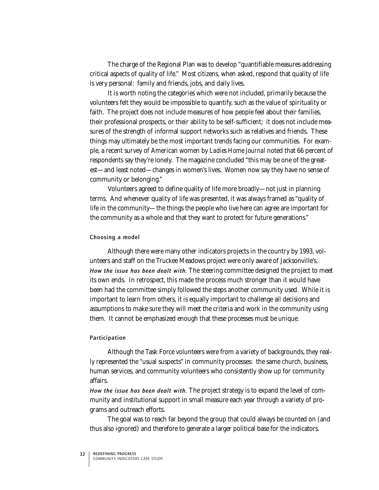The charge of the Regional Plan was to develop "quantifiable measures addressing critical aspects of quality of life." Most citizens, when asked, respond that quality of life is very personal: family and friends, jobs, and daily lives.

It is worth noting the categories which were not included, primarily because the volunteers felt they would be impossible to quantify, such as the value of spirituality or faith. The project does not include measures of how people feel about their families, their professional prospects, or their ability to be self-sufficient; it does not include measures of the strength of informal support networks such as relatives and friends. These things may ultimately be the most important trends facing our communities. For example, a recent survey of American women by *Ladies Home Journal* noted that 66 percent of respondents say they're lonely. The magazine concluded "this may be one of the greatest—and least noted—changes in women's lives. Women now say they have no sense of community or belonging."

Volunteers agreed to define quality of life more broadly—not just in planning terms. And whenever quality of life was presented, it was always framed as "quality of life in the community—the things the people who live here can agree are important for the community as a whole and that they want to protect for future generations."

#### Choosing a model

Although there were many other indicators projects in the country by 1993, volunteers and staff on the Truckee Meadows project were only aware of Jacksonville's. *How the issue has been dealt with.* The steering committee designed the project to meet its own ends. In retrospect, this made the process much stronger than it would have been had the committee simply followed the steps another community used. While it is important to learn from others, it is equally important to challenge all decisions and assumptions to make sure they will meet the criteria and work in the community using them. It cannot be emphasized enough that these processes must be unique.

#### Participation

Although the Task Force volunteers were from a variety of backgrounds, they really represented the "usual suspects" in community processes: the same church, business, human services, and community volunteers who consistently show up for community affairs.

*How the issue has been dealt with.* The project strategy is to expand the level of community and institutional support in small measure each year through a variety of programs and outreach efforts.

The goal was to reach far beyond the group that could always be counted on (and thus also ignored) and therefore to generate a larger political base for the indicators.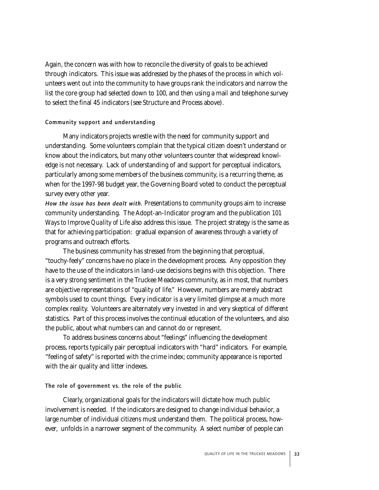Again, the concern was with how to reconcile the diversity of goals to be achieved through indicators. This issue was addressed by the phases of the process in which volunteers went out into the community to have groups rank the indicators and narrow the list the core group had selected down to 100, and then using a mail and telephone survey to select the final 45 indicators (see Structure and Process above).

# Community support and understanding

Many indicators projects wrestle with the need for community support and understanding. Some volunteers complain that the typical citizen doesn't understand or know about the indicators, but many other volunteers counter that widespread knowledge is not necessary. Lack of understanding of and support for perceptual indicators, particularly among some members of the business community, is a recurring theme, as when for the 1997-98 budget year, the Governing Board voted to conduct the perceptual survey every other year.

*How the issue has been dealt with.* Presentations to community groups aim to increase community understanding. The Adopt-an-Indicator program and the publication *101 Ways to Improve Quality of Life* also address this issue. The project strategy is the same as that for achieving participation: gradual expansion of awareness through a variety of programs and outreach efforts.

The business community has stressed from the beginning that perceptual, "touchy-feely" concerns have no place in the development process. Any opposition they have to the use of the indicators in land-use decisions begins with this objection. There is a very strong sentiment in the Truckee Meadows community, as in most, that numbers are objective representations of "quality of life." However, numbers are merely abstract symbols used to count things. Every indicator is a very limited glimpse at a much more complex reality. Volunteers are alternately very invested in and very skeptical of different statistics. Part of this process involves the continual education of the volunteers, and also the public, about what numbers can and cannot do or represent.

To address business concerns about "feelings" influencing the development process, reports typically pair perceptual indicators with "hard" indicators. For example, "feeling of safety" is reported with the crime index; community appearance is reported with the air quality and litter indexes.

# The role of government vs. the role of the public

Clearly, organizational goals for the indicators will dictate how much public involvement is needed. If the indicators are designed to change individual behavior, a large number of individual citizens must understand them. The political process, however, unfolds in a narrower segment of the community. A select number of people can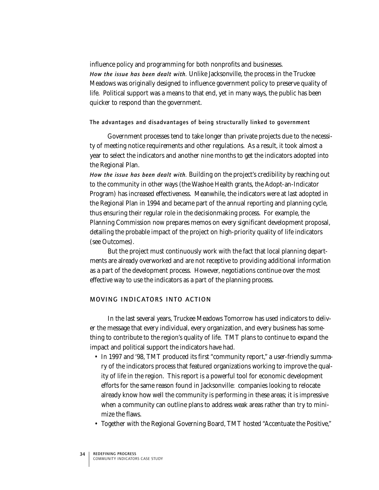influence policy and programming for both nonprofits and businesses. *How the issue has been dealt with.* Unlike Jacksonville, the process in the Truckee Meadows was originally designed to influence government policy to preserve quality of life. Political support was a means to that end, yet in many ways, the public has been quicker to respond than the government.

The advantages and disadvantages of being structurally linked to government

Government processes tend to take longer than private projects due to the necessity of meeting notice requirements and other regulations. As a result, it took almost a year to select the indicators and another nine months to get the indicators adopted into the Regional Plan.

*How the issue has been dealt with.* Building on the project's credibility by reaching out to the community in other ways (the Washoe Health grants, the Adopt-an-Indicator Program) has increased effectiveness. Meanwhile, the indicators were at last adopted in the Regional Plan in 1994 and became part of the annual reporting and planning cycle, thus ensuring their regular role in the decisionmaking process. For example, the Planning Commission now prepares memos on every significant development proposal, detailing the probable impact of the project on high-priority quality of life indicators (see Outcomes).

But the project must continuously work with the fact that local planning departments are already overworked and are not receptive to providing additional information as a part of the development process. However, negotiations continue over the most effective way to use the indicators as a part of the planning process.

# MOVING INDICATORS INTO ACTION

In the last several years, Truckee Meadows Tomorrow has used indicators to deliver the message that every individual, every organization, and every business has something to contribute to the region's quality of life. TMT plans to continue to expand the impact and political support the indicators have had.

- In 1997 and '98, TMT produced its first "community report," a user-friendly summary of the indicators process that featured organizations working to improve the quality of life in the region. This report is a powerful tool for economic development efforts for the same reason found in Jacksonville: companies looking to relocate already know how well the community is performing in these areas; it is impressive when a community can outline plans to address weak areas rather than try to minimize the flaws.
- Together with the Regional Governing Board, TMT hosted "Accentuate the Positive,"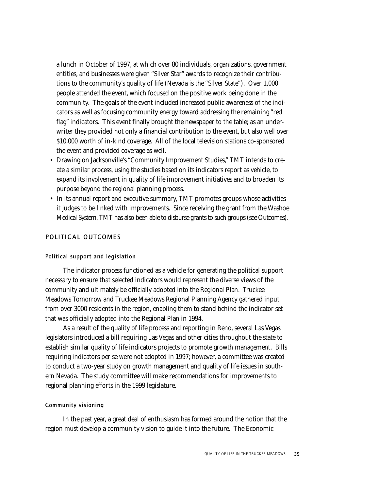a lunch in October of 1997, at which over 80 individuals, organizations, government entities, and businesses were given "Silver Star" awards to recognize their contributions to the community's quality of life (Nevada is the "Silver State"). Over 1,000 people attended the event, which focused on the positive work being done in the community. The goals of the event included increased public awareness of the indicators as well as focusing community energy toward addressing the remaining "red flag" indicators. This event finally brought the newspaper to the table; as an underwriter they provided not only a financial contribution to the event, but also well over \$10,000 worth of in-kind coverage. All of the local television stations co-sponsored the event and provided coverage as well.

- Drawing on Jacksonville's "Community Improvement Studies," TMT intends to create a similar process, using the studies based on its indicators report as vehicle, to expand its involvement in quality of life improvement initiatives and to broaden its purpose beyond the regional planning process.
- In its annual report and executive summary, TMT promotes groups whose activities it judges to be linked with improvements. Since receiving the grant from the Washoe Medical System, TMT has also been able to disburse grants to such groups (see Outcomes).

#### POLITICAL OUTCOMES

#### Political support and legislation

The indicator process functioned as a vehicle for generating the political support necessary to ensure that selected indicators would represent the diverse views of the community and ultimately be officially adopted into the Regional Plan. Truckee Meadows Tomorrow and Truckee Meadows Regional Planning Agency gathered input from over 3000 residents in the region, enabling them to stand behind the indicator set that was officially adopted into the Regional Plan in 1994.

As a result of the quality of life process and reporting in Reno, several Las Vegas legislators introduced a bill requiring Las Vegas and other cities throughout the state to establish similar quality of life indicators projects to promote growth management. Bills requiring indicators per se were not adopted in 1997; however, a committee was created to conduct a two-year study on growth management and quality of life issues in southern Nevada. The study committee will make recommendations for improvements to regional planning efforts in the 1999 legislature.

#### Community visioning

In the past year, a great deal of enthusiasm has formed around the notion that the region must develop a community vision to guide it into the future. The Economic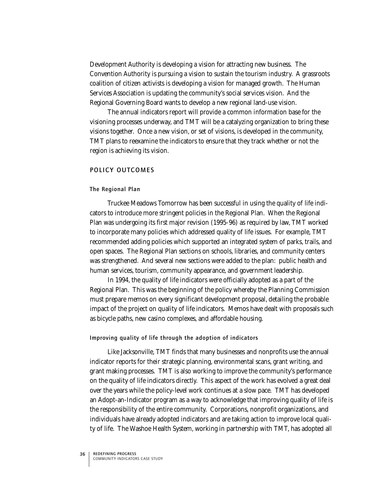Development Authority is developing a vision for attracting new business. The Convention Authority is pursuing a vision to sustain the tourism industry. A grassroots coalition of citizen activists is developing a vision for managed growth. The Human Services Association is updating the community's social services vision. And the Regional Governing Board wants to develop a new regional land-use vision.

The annual indicators report will provide a common information base for the visioning processes underway, and TMT will be a catalyzing organization to bring these visions together. Once a new vision, or set of visions, is developed in the community, TMT plans to reexamine the indicators to ensure that they track whether or not the region is achieving its vision.

# POLICY OUTCOMES

#### The Regional Plan

Truckee Meadows Tomorrow has been successful in using the quality of life indicators to introduce more stringent policies in the Regional Plan. When the Regional Plan was undergoing its first major revision (1995-96) as required by law, TMT worked to incorporate many policies which addressed quality of life issues. For example, TMT recommended adding policies which supported an integrated system of parks, trails, and open spaces. The Regional Plan sections on schools, libraries, and community centers was strengthened. And several new sections were added to the plan: public health and human services, tourism, community appearance, and government leadership.

In 1994, the quality of life indicators were officially adopted as a part of the Regional Plan. This was the beginning of the policy whereby the Planning Commission must prepare memos on every significant development proposal, detailing the probable impact of the project on quality of life indicators. Memos have dealt with proposals such as bicycle paths, new casino complexes, and affordable housing.

#### Improving quality of life through the adoption of indicators

Like Jacksonville, TMT finds that many businesses and nonprofits use the annual indicator reports for their strategic planning, environmental scans, grant writing, and grant making processes. TMT is also working to improve the community's performance on the quality of life indicators directly. This aspect of the work has evolved a great deal over the years while the policy-level work continues at a slow pace. TMT has developed an Adopt-an-Indicator program as a way to acknowledge that improving quality of life is the responsibility of the entire community. Corporations, nonprofit organizations, and individuals have already adopted indicators and are taking action to improve local quality of life. The Washoe Health System, working in partnership with TMT, has adopted all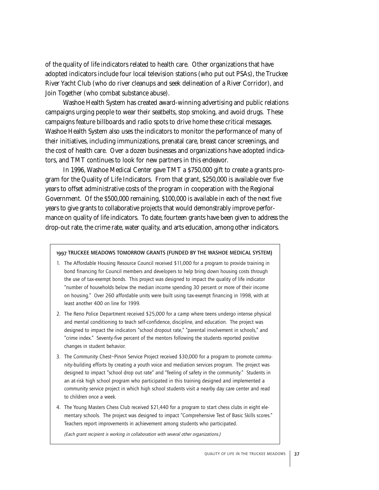of the quality of life indicators related to health care. Other organizations that have adopted indicators include four local television stations (who put out PSAs), the Truckee River Yacht Club (who do river cleanups and seek delineation of a River Corridor), and Join Together (who combat substance abuse).

Washoe Health System has created award-winning advertising and public relations campaigns urging people to wear their seatbelts, stop smoking, and avoid drugs. These campaigns feature billboards and radio spots to drive home these critical messages. Washoe Health System also uses the indicators to monitor the performance of many of their initiatives, including immunizations, prenatal care, breast cancer screenings, and the cost of health care. Over a dozen businesses and organizations have adopted indicators, and TMT continues to look for new partners in this endeavor.

In 1996, Washoe Medical Center gave TMT a \$750,000 gift to create a grants program for the Quality of Life Indicators. From that grant, \$250,000 is available over five years to offset administrative costs of the program in cooperation with the Regional Government. Of the \$500,000 remaining, \$100,000 is available in each of the next five years to give grants to collaborative projects that would demonstrably improve performance on quality of life indicators. To date, fourteen grants have been given to address the drop-out rate, the crime rate, water quality, and arts education, among other indicators.

# 1997 TRUCKEE MEADOWS TOMORROW GRANTS (FUNDED BY THE WASHOE MEDICAL SYSTEM)

- 1. The Affordable Housing Resource Council received \$11,000 for a program to provide training in bond financing for Council members and developers to help bring down housing costs through the use of tax-exempt bonds. This project was designed to impact the quality of life indicator "number of households below the median income spending 30 percent or more of their income on housing." Over 260 affordable units were built using tax-exempt financing in 1998, with at least another 400 on line for 1999.
- 2. The Reno Police Department received \$25,000 for a camp where teens undergo intense physical and mental conditioning to teach self-confidence, discipline, and education. The project was designed to impact the indicators "school dropout rate," "parental involvement in schools," and "crime index." Seventy-five percent of the mentors following the students reported positive changes in student behavior.
- 3. The Community Chest–Pinon Service Project received \$30,000 for a program to promote community-building efforts by creating a youth voice and mediation services program. The project was designed to impact "school drop out rate" and "feeling of safety in the community." Students in an at-risk high school program who participated in this training designed and implemented a community service project in which high school students visit a nearby day care center and read to children once a week.
- 4. The Young Masters Chess Club received \$21,440 for a program to start chess clubs in eight elementary schools. The project was designed to impact "Comprehensive Test of Basic Skills scores." Teachers report improvements in achievement among students who participated.

(Each grant recipient is working in collaboration with several other organizations.)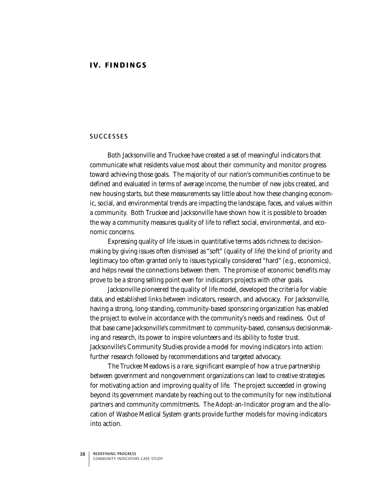# SUCCESSES

Both Jacksonville and Truckee have created a set of meaningful indicators that communicate what residents value most about their community and monitor progress toward achieving those goals. The majority of our nation's communities continue to be defined and evaluated in terms of average income, the number of new jobs created, and new housing starts, but these measurements say little about how these changing economic, social, and environmental trends are impacting the landscape, faces, and values within a community. Both Truckee and Jacksonville have shown how it is possible to broaden the way a community measures quality of life to reflect social, environmental, and economic concerns.

Expressing quality of life issues in quantitative terms adds richness to decisionmaking by giving issues often dismissed as "soft" (quality of life) the kind of priority and legitimacy too often granted only to issues typically considered "hard" (e.g., economics), and helps reveal the connections between them. The promise of economic benefits may prove to be a strong selling point even for indicators projects with other goals.

Jacksonville pioneered the quality of life model, developed the criteria for viable data, and established links between indicators, research, and advocacy. For Jacksonville, having a strong, long-standing, community-based sponsoring organization has enabled the project to evolve in accordance with the community's needs and readiness. Out of that base came Jacksonville's commitment to community-based, consensus decisionmaking and research, its power to inspire volunteers and its ability to foster trust. Jacksonville's Community Studies provide a model for moving indicators into action: further research followed by recommendations and targeted advocacy.

The Truckee Meadows is a rare, significant example of how a true partnership between government and nongovernment organizations can lead to creative strategies for motivating action and improving quality of life. The project succeeded in growing beyond its government mandate by reaching out to the community for new institutional partners and community commitments. The Adopt-an-Indicator program and the allocation of Washoe Medical System grants provide further models for moving indicators into action.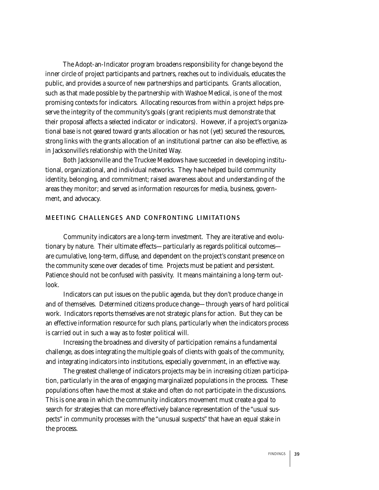The Adopt-an-Indicator program broadens responsibility for change beyond the inner circle of project participants and partners, reaches out to individuals, educates the public, and provides a source of new partnerships and participants. Grants allocation, such as that made possible by the partnership with Washoe Medical, is one of the most promising contexts for indicators. Allocating resources from within a project helps preserve the integrity of the community's goals (grant recipients must demonstrate that their proposal affects a selected indicator or indicators). However, if a project's organizational base is not geared toward grants allocation or has not (yet) secured the resources, strong links with the grants allocation of an institutional partner can also be effective, as in Jacksonville's relationship with the United Way.

Both Jacksonville and the Truckee Meadows have succeeded in developing institutional, organizational, and individual networks. They have helped build community identity, belonging, and commitment; raised awareness about and understanding of the areas they monitor; and served as information resources for media, business, government, and advocacy.

# MEETING CHALLENGES AND CONFRONTING LIMITATIONS

Community indicators are a long-term investment. They are iterative and evolutionary by nature. Their ultimate effects—particularly as regards political outcomes are cumulative, long-term, diffuse, and dependent on the project's constant presence on the community scene over decades of time. Projects must be patient and persistent. Patience should not be confused with passivity. It means maintaining a long-term outlook.

Indicators can put issues on the public agenda, but they don't produce change in and of themselves. Determined citizens produce change—through years of hard political work. Indicators reports themselves are not strategic plans for action. But they can be an effective information resource for such plans, particularly when the indicators process is carried out in such a way as to foster political will.

Increasing the broadness and diversity of participation remains a fundamental challenge, as does integrating the multiple goals of clients with goals of the community, and integrating indicators into institutions, especially government, in an effective way.

The greatest challenge of indicators projects may be in increasing citizen participation, particularly in the area of engaging marginalized populations in the process. These populations often have the most at stake and often do not participate in the discussions. This is one area in which the community indicators movement must create a goal to search for strategies that can more effectively balance representation of the "usual suspects" in community processes with the "unusual suspects" that have an equal stake in the process.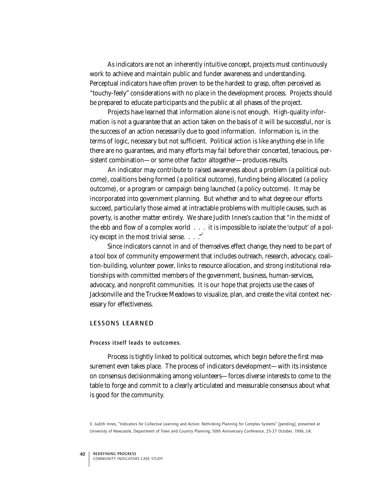As indicators are not an inherently intuitive concept, projects must continuously work to achieve and maintain public and funder awareness and understanding. Perceptual indicators have often proven to be the hardest to grasp, often perceived as "touchy-feely" considerations with no place in the development process. Projects should be prepared to educate participants and the public at all phases of the project.

Projects have learned that information alone is not enough. High-quality information is not a guarantee that an action taken on the basis of it will be successful, nor is the success of an action necessarily due to good information. Information is, in the terms of logic, necessary but not sufficient. Political action is like anything else in life: there are no guarantees, and many efforts may fail before their concerted, tenacious, persistent combination—or some other factor altogether—produces results.

An indicator may contribute to raised awareness about a problem (a political outcome), coalitions being formed (a political outcome), funding being allocated (a policy outcome), or a program or campaign being launched (a policy outcome). It may be incorporated into government planning. But whether and to what degree our efforts succeed, particularly those aimed at intractable problems with multiple causes, such as poverty, is another matter entirely. We share Judith Innes's caution that "in the midst of the ebb and flow of a complex world . . . it is impossible to isolate the 'output' of a policy except in the most trivial sense.  $\ldots$ .

Since indicators cannot in and of themselves effect change, they need to be part of a tool box of community empowerment that includes outreach, research, advocacy, coalition-building, volunteer power, links to resource allocation, and strong institutional relationships with committed members of the government, business, human-services, advocacy, and nonprofit communities. It is our hope that projects use the cases of Jacksonville and the Truckee Meadows to visualize, plan, and create the vital context necessary for effectiveness.

# LESSONS LEARNED

#### Process itself leads to outcomes.

Process is tightly linked to political outcomes, which begin before the first measurement even takes place. The process of indicators development—with its insistence on consensus decisionmaking among volunteers—forces diverse interests to come to the table to forge and commit to a clearly articulated and measurable consensus about what is good for the community.

<sup>3.</sup> Judith Innes, "Indicators for Collective Learning and Action: Rethinking Planning for Complex Systems" [pending], presented at University of Newcastle, Department of Town and Country Planning, 50th Anniversary Conference, 25-27 October, 1996, UK.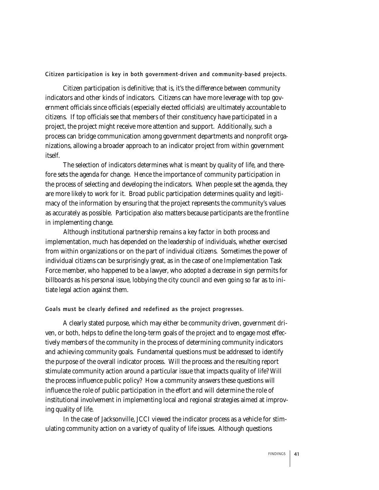Citizen participation is key in both government-driven and community-based projects.

Citizen participation is definitive; that is, it's the difference between community indicators and other kinds of indicators. Citizens can have more leverage with top government officials since officials (especially elected officials) are ultimately accountable to citizens. If top officials see that members of their constituency have participated in a project, the project might receive more attention and support. Additionally, such a process can bridge communication among government departments and nonprofit organizations, allowing a broader approach to an indicator project from within government itself.

The selection of indicators determines what is meant by quality of life, and therefore sets the agenda for change. Hence the importance of community participation in the process of selecting and developing the indicators. When people set the agenda, they are more likely to work for it. Broad public participation determines quality and legitimacy of the information by ensuring that the project represents the community's values as accurately as possible. Participation also matters because participants are the frontline in implementing change.

Although institutional partnership remains a key factor in both process and implementation, much has depended on the leadership of individuals, whether exercised from within organizations or on the part of individual citizens. Sometimes the power of individual citizens can be surprisingly great, as in the case of one Implementation Task Force member, who happened to be a lawyer, who adopted a decrease in sign permits for billboards as his personal issue, lobbying the city council and even going so far as to initiate legal action against them.

Goals must be clearly defined and redefined as the project progresses.

A clearly stated purpose, which may either be community driven, government driven, or both, helps to define the long-term goals of the project and to engage most effectively members of the community in the process of determining community indicators and achieving community goals. Fundamental questions must be addressed to identify the purpose of the overall indicator process. Will the process and the resulting report stimulate community action around a particular issue that impacts quality of life? Will the process influence public policy? How a community answers these questions will influence the role of public participation in the effort and will determine the role of institutional involvement in implementing local and regional strategies aimed at improving quality of life.

In the case of Jacksonville, JCCI viewed the indicator process as a vehicle for stimulating community action on a variety of quality of life issues. Although questions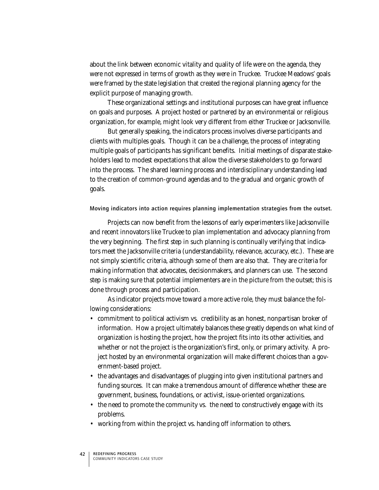about the link between economic vitality and quality of life were on the agenda, they were not expressed in terms of growth as they were in Truckee. Truckee Meadows' goals were framed by the state legislation that created the regional planning agency for the explicit purpose of managing growth.

These organizational settings and institutional purposes can have great influence on goals and purposes. A project hosted or partnered by an environmental or religious organization, for example, might look very different from either Truckee or Jacksonville.

But generally speaking, the indicators process involves diverse participants and clients with multiples goals. Though it can be a challenge, the process of integrating multiple goals of participants has significant benefits. Initial meetings of disparate stakeholders lead to modest expectations that allow the diverse stakeholders to go forward into the process. The shared learning process and interdisciplinary understanding lead to the creation of common-ground agendas and to the gradual and organic growth of goals.

Moving indicators into action requires planning implementation strategies from the outset.

Projects can now benefit from the lessons of early experimenters like Jacksonville and recent innovators like Truckee to plan implementation and advocacy planning from the very beginning. The first step in such planning is continually verifying that indicators meet the Jacksonville criteria (understandability, relevance, accuracy, etc.). These are not simply scientific criteria, although some of them are also that. They are criteria for making information that advocates, decisionmakers, and planners can use. The second step is making sure that potential implementers are in the picture from the outset; this is done through process and participation.

As indicator projects move toward a more active role, they must balance the following considerations:

- commitment to political activism vs. credibility as an honest, nonpartisan broker of information. How a project ultimately balances these greatly depends on what kind of organization is hosting the project, how the project fits into its other activities, and whether or not the project is the organization's first, only, or primary activity. A project hosted by an environmental organization will make different choices than a government-based project.
- the advantages and disadvantages of plugging into given institutional partners and funding sources. It can make a tremendous amount of difference whether these are government, business, foundations, or activist, issue-oriented organizations.
- the need to promote the community vs. the need to constructively engage with its problems.
- working from within the project vs. handing off information to others.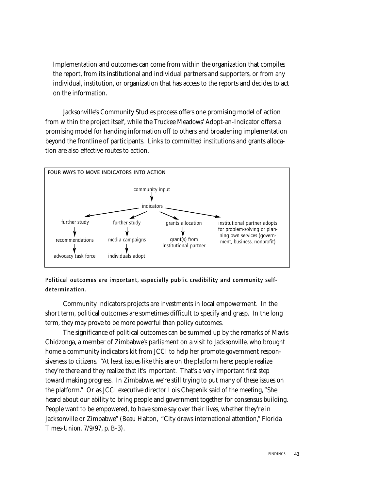Implementation and outcomes can come from within the organization that compiles the report, from its institutional and individual partners and supporters, or from any individual, institution, or organization that has access to the reports and decides to act on the information.

Jacksonville's Community Studies process offers one promising model of action from within the project itself, while the Truckee Meadows' Adopt-an-Indicator offers a promising model for handing information off to others and broadening implementation beyond the frontline of participants. Links to committed institutions and grants allocation are also effective routes to action.



Political outcomes are important, especially public credibility and community selfdetermination.

Community indicators projects are investments in local empowerment. In the short term, political outcomes are sometimes difficult to specify and grasp. In the long term, they may prove to be more powerful than policy outcomes.

The significance of political outcomes can be summed up by the remarks of Mavis Chidzonga, a member of Zimbabwe's parliament on a visit to Jacksonville, who brought home a community indicators kit from JCCI to help her promote government responsiveness to citizens. "At least issues like this are on the platform here; people realize they're there and they realize that it's important. That's a very important first step toward making progress. In Zimbabwe, we're still trying to put many of these issues on the platform." Or as JCCI executive director Lois Chepenik said of the meeting, "She heard about our ability to bring people and government together for consensus building. People want to be empowered, to have some say over their lives, whether they're in Jacksonville or Zimbabwe" (Beau Halton, "City draws international attention," Florida *Times-Union,* 7/9/97, p. B-3).